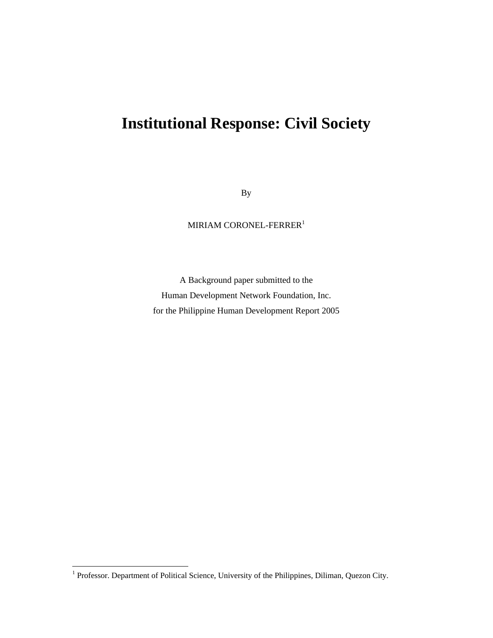# **Institutional Response: Civil Society**

By

MIRIAM CORONEL-FERRER<sup>1</sup>

A Background paper submitted to the Human Development Network Foundation, Inc. for the Philippine Human Development Report 2005

<sup>&</sup>lt;sup>1</sup> Professor. Department of Political Science, University of the Philippines, Diliman, Quezon City.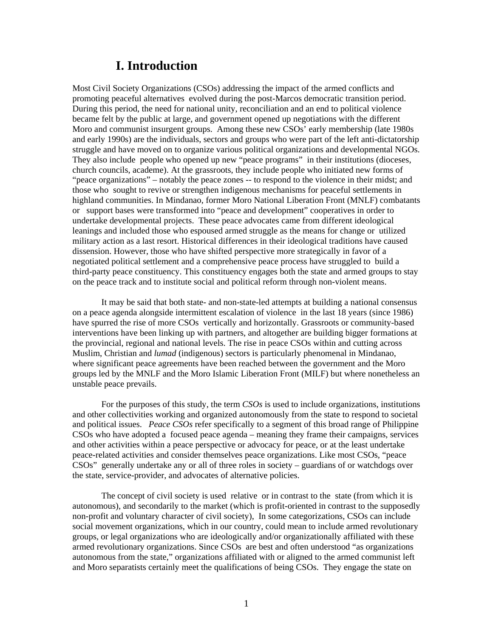### **I. Introduction**

Most Civil Society Organizations (CSOs) addressing the impact of the armed conflicts and promoting peaceful alternatives evolved during the post-Marcos democratic transition period. During this period, the need for national unity, reconciliation and an end to political violence became felt by the public at large, and government opened up negotiations with the different Moro and communist insurgent groups. Among these new CSOs' early membership (late 1980s and early 1990s) are the individuals, sectors and groups who were part of the left anti-dictatorship struggle and have moved on to organize various political organizations and developmental NGOs. They also include people who opened up new "peace programs" in their institutions (dioceses, church councils, academe). At the grassroots, they include people who initiated new forms of "peace organizations" – notably the peace zones -- to respond to the violence in their midst; and those who sought to revive or strengthen indigenous mechanisms for peaceful settlements in highland communities. In Mindanao, former Moro National Liberation Front (MNLF) combatants or support bases were transformed into "peace and development" cooperatives in order to undertake developmental projects. These peace advocates came from different ideological leanings and included those who espoused armed struggle as the means for change or utilized military action as a last resort. Historical differences in their ideological traditions have caused dissension. However, those who have shifted perspective more strategically in favor of a negotiated political settlement and a comprehensive peace process have struggled to build a third-party peace constituency. This constituency engages both the state and armed groups to stay on the peace track and to institute social and political reform through non-violent means.

It may be said that both state- and non-state-led attempts at building a national consensus on a peace agenda alongside intermittent escalation of violence in the last 18 years (since 1986) have spurred the rise of more CSOs vertically and horizontally. Grassroots or community-based interventions have been linking up with partners, and altogether are building bigger formations at the provincial, regional and national levels. The rise in peace CSOs within and cutting across Muslim, Christian and *lumad* (indigenous) sectors is particularly phenomenal in Mindanao, where significant peace agreements have been reached between the government and the Moro groups led by the MNLF and the Moro Islamic Liberation Front (MILF) but where nonetheless an unstable peace prevails.

For the purposes of this study, the term *CSOs* is used to include organizations, institutions and other collectivities working and organized autonomously from the state to respond to societal and political issues. *Peace CSOs* refer specifically to a segment of this broad range of Philippine CSOs who have adopted a focused peace agenda – meaning they frame their campaigns, services and other activities within a peace perspective or advocacy for peace, or at the least undertake peace-related activities and consider themselves peace organizations. Like most CSOs, "peace CSOs" generally undertake any or all of three roles in society – guardians of or watchdogs over the state, service-provider, and advocates of alternative policies.

The concept of civil society is used relative or in contrast to the state (from which it is autonomous), and secondarily to the market (which is profit-oriented in contrast to the supposedly non-profit and voluntary character of civil society), In some categorizations, CSOs can include social movement organizations, which in our country, could mean to include armed revolutionary groups, or legal organizations who are ideologically and/or organizationally affiliated with these armed revolutionary organizations. Since CSOs are best and often understood "as organizations autonomous from the state," organizations affiliated with or aligned to the armed communist left and Moro separatists certainly meet the qualifications of being CSOs. They engage the state on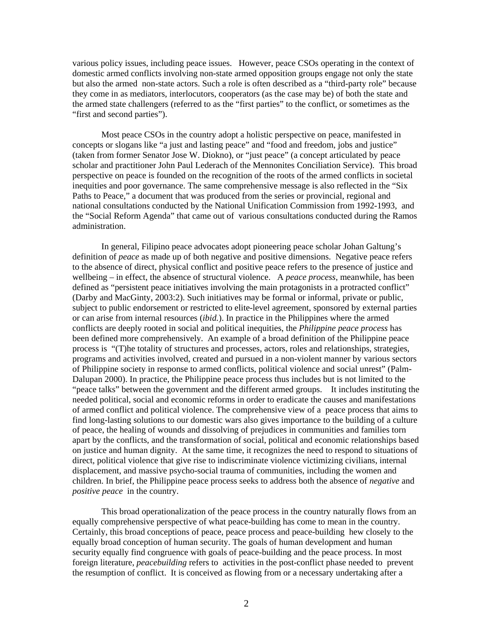various policy issues, including peace issues. However, peace CSOs operating in the context of domestic armed conflicts involving non-state armed opposition groups engage not only the state but also the armed non-state actors. Such a role is often described as a "third-party role" because they come in as mediators, interlocutors, cooperators (as the case may be) of both the state and the armed state challengers (referred to as the "first parties" to the conflict, or sometimes as the "first and second parties").

Most peace CSOs in the country adopt a holistic perspective on peace, manifested in concepts or slogans like "a just and lasting peace" and "food and freedom, jobs and justice" (taken from former Senator Jose W. Diokno), or "just peace" (a concept articulated by peace scholar and practitioner John Paul Lederach of the Mennonites Conciliation Service). This broad perspective on peace is founded on the recognition of the roots of the armed conflicts in societal inequities and poor governance. The same comprehensive message is also reflected in the "Six Paths to Peace," a document that was produced from the series or provincial, regional and national consultations conducted by the National Unification Commission from 1992-1993, and the "Social Reform Agenda" that came out of various consultations conducted during the Ramos administration.

In general, Filipino peace advocates adopt pioneering peace scholar Johan Galtung's definition of *peace* as made up of both negative and positive dimensions. Negative peace refers to the absence of direct, physical conflict and positive peace refers to the presence of justice and wellbeing – in effect, the absence of structural violence. A *peace process*, meanwhile, has been defined as "persistent peace initiatives involving the main protagonists in a protracted conflict" (Darby and MacGinty, 2003:2). Such initiatives may be formal or informal, private or public, subject to public endorsement or restricted to elite-level agreement, sponsored by external parties or can arise from internal resources (*ibid.*). In practice in the Philippines where the armed conflicts are deeply rooted in social and political inequities, the *Philippine peace process* has been defined more comprehensively. An example of a broad definition of the Philippine peace process is "(T)he totality of structures and processes, actors, roles and relationships, strategies, programs and activities involved, created and pursued in a non-violent manner by various sectors of Philippine society in response to armed conflicts, political violence and social unrest" (Palm-Dalupan 2000). In practice, the Philippine peace process thus includes but is not limited to the "peace talks" between the government and the different armed groups. It includes instituting the needed political, social and economic reforms in order to eradicate the causes and manifestations of armed conflict and political violence. The comprehensive view of a peace process that aims to find long-lasting solutions to our domestic wars also gives importance to the building of a culture of peace, the healing of wounds and dissolving of prejudices in communities and families torn apart by the conflicts, and the transformation of social, political and economic relationships based on justice and human dignity. At the same time, it recognizes the need to respond to situations of direct, political violence that give rise to indiscriminate violence victimizing civilians, internal displacement, and massive psycho-social trauma of communities, including the women and children. In brief, the Philippine peace process seeks to address both the absence of *negative* and *positive peace* in the country.

This broad operationalization of the peace process in the country naturally flows from an equally comprehensive perspective of what peace-building has come to mean in the country. Certainly, this broad conceptions of peace, peace process and peace-building hew closely to the equally broad conception of human security. The goals of human development and human security equally find congruence with goals of peace-building and the peace process. In most foreign literature, *peacebuilding* refers to activities in the post-conflict phase needed to prevent the resumption of conflict. It is conceived as flowing from or a necessary undertaking after a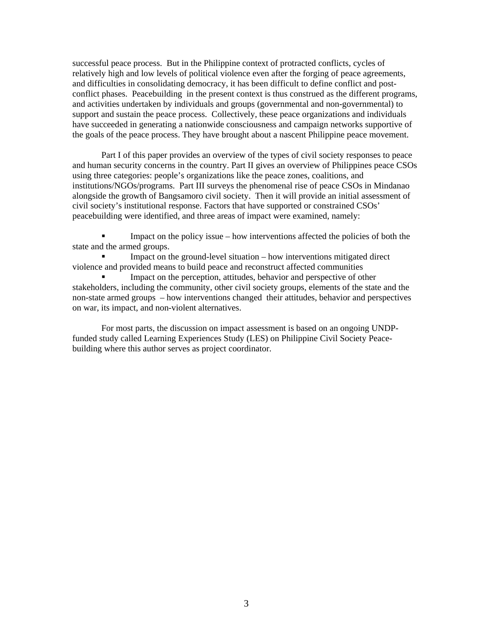successful peace process. But in the Philippine context of protracted conflicts, cycles of relatively high and low levels of political violence even after the forging of peace agreements, and difficulties in consolidating democracy, it has been difficult to define conflict and postconflict phases. Peacebuilding in the present context is thus construed as the different programs, and activities undertaken by individuals and groups (governmental and non-governmental) to support and sustain the peace process. Collectively, these peace organizations and individuals have succeeded in generating a nationwide consciousness and campaign networks supportive of the goals of the peace process. They have brought about a nascent Philippine peace movement.

Part I of this paper provides an overview of the types of civil society responses to peace and human security concerns in the country. Part II gives an overview of Philippines peace CSOs using three categories: people's organizations like the peace zones, coalitions, and institutions/NGOs/programs. Part III surveys the phenomenal rise of peace CSOs in Mindanao alongside the growth of Bangsamoro civil society. Then it will provide an initial assessment of civil society's institutional response. Factors that have supported or constrained CSOs' peacebuilding were identified, and three areas of impact were examined, namely:

 Impact on the policy issue – how interventions affected the policies of both the state and the armed groups.

 Impact on the ground-level situation – how interventions mitigated direct violence and provided means to build peace and reconstruct affected communities

 Impact on the perception, attitudes, behavior and perspective of other stakeholders, including the community, other civil society groups, elements of the state and the non-state armed groups – how interventions changed their attitudes, behavior and perspectives on war, its impact, and non-violent alternatives.

For most parts, the discussion on impact assessment is based on an ongoing UNDPfunded study called Learning Experiences Study (LES) on Philippine Civil Society Peacebuilding where this author serves as project coordinator.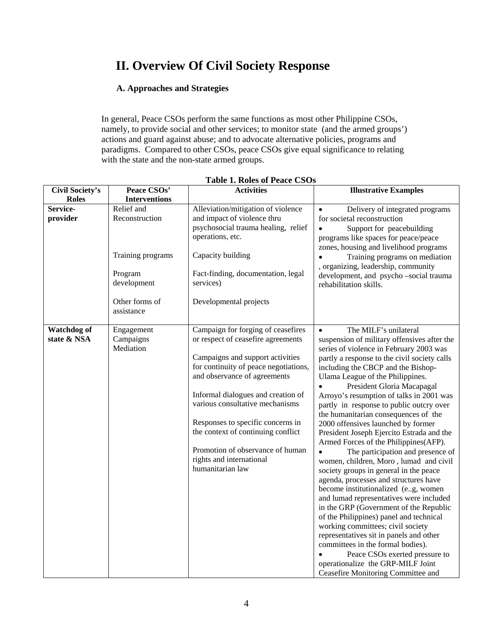# **II. Overview Of Civil Society Response**

### **A. Approaches and Strategies**

In general, Peace CSOs perform the same functions as most other Philippine CSOs, namely, to provide social and other services; to monitor state (and the armed groups') actions and guard against abuse; and to advocate alternative policies, programs and paradigms. Compared to other CSOs, peace CSOs give equal significance to relating with the state and the non-state armed groups.

| <b>Civil Society's</b>            | Peace CSOs'                                    | <b>Activities</b>                                                                                                                                                                                                                                                                                                                                                                                                             | <b>Illustrative Examples</b>                                                                                                                                                                                                                                                                                                                                                                                                                                                                                                                                                                                                                                                                                                                                                                                                                                                                                                                                                                                                                                                                                                             |
|-----------------------------------|------------------------------------------------|-------------------------------------------------------------------------------------------------------------------------------------------------------------------------------------------------------------------------------------------------------------------------------------------------------------------------------------------------------------------------------------------------------------------------------|------------------------------------------------------------------------------------------------------------------------------------------------------------------------------------------------------------------------------------------------------------------------------------------------------------------------------------------------------------------------------------------------------------------------------------------------------------------------------------------------------------------------------------------------------------------------------------------------------------------------------------------------------------------------------------------------------------------------------------------------------------------------------------------------------------------------------------------------------------------------------------------------------------------------------------------------------------------------------------------------------------------------------------------------------------------------------------------------------------------------------------------|
| <b>Roles</b>                      | <b>Interventions</b>                           |                                                                                                                                                                                                                                                                                                                                                                                                                               |                                                                                                                                                                                                                                                                                                                                                                                                                                                                                                                                                                                                                                                                                                                                                                                                                                                                                                                                                                                                                                                                                                                                          |
| Service-                          | Relief and                                     | Alleviation/mitigation of violence                                                                                                                                                                                                                                                                                                                                                                                            | Delivery of integrated programs                                                                                                                                                                                                                                                                                                                                                                                                                                                                                                                                                                                                                                                                                                                                                                                                                                                                                                                                                                                                                                                                                                          |
| provider                          | Reconstruction<br>Training programs<br>Program | and impact of violence thru<br>psychosocial trauma healing, relief<br>operations, etc.<br>Capacity building<br>Fact-finding, documentation, legal                                                                                                                                                                                                                                                                             | for societal reconstruction<br>Support for peacebuilding<br>programs like spaces for peace/peace<br>zones, housing and livelihood programs<br>Training programs on mediation<br>, organizing, leadership, community<br>development, and psycho-social trauma                                                                                                                                                                                                                                                                                                                                                                                                                                                                                                                                                                                                                                                                                                                                                                                                                                                                             |
|                                   | development<br>Other forms of<br>assistance    | services)<br>Developmental projects                                                                                                                                                                                                                                                                                                                                                                                           | rehabilitation skills.                                                                                                                                                                                                                                                                                                                                                                                                                                                                                                                                                                                                                                                                                                                                                                                                                                                                                                                                                                                                                                                                                                                   |
| <b>Watchdog of</b><br>state & NSA | Engagement<br>Campaigns<br>Mediation           | Campaign for forging of ceasefires<br>or respect of ceasefire agreements<br>Campaigns and support activities<br>for continuity of peace negotiations,<br>and observance of agreements<br>Informal dialogues and creation of<br>various consultative mechanisms<br>Responses to specific concerns in<br>the context of continuing conflict<br>Promotion of observance of human<br>rights and international<br>humanitarian law | The MILF's unilateral<br>$\bullet$<br>suspension of military offensives after the<br>series of violence in February 2003 was<br>partly a response to the civil society calls<br>including the CBCP and the Bishop-<br>Ulama League of the Philippines.<br>President Gloria Macapagal<br>Arroyo's resumption of talks in 2001 was<br>partly in response to public outcry over<br>the humanitarian consequences of the<br>2000 offensives launched by former<br>President Joseph Ejercito Estrada and the<br>Armed Forces of the Philippines(AFP).<br>The participation and presence of<br>$\bullet$<br>women, children, Moro, lumad and civil<br>society groups in general in the peace<br>agenda, processes and structures have<br>become institutionalized (eg, women<br>and lumad representatives were included<br>in the GRP (Government of the Republic<br>of the Philippines) panel and technical<br>working committees; civil society<br>representatives sit in panels and other<br>committees in the formal bodies).<br>Peace CSOs exerted pressure to<br>operationalize the GRP-MILF Joint<br>Ceasefire Monitoring Committee and |

### **Table 1. Roles of Peace CSOs**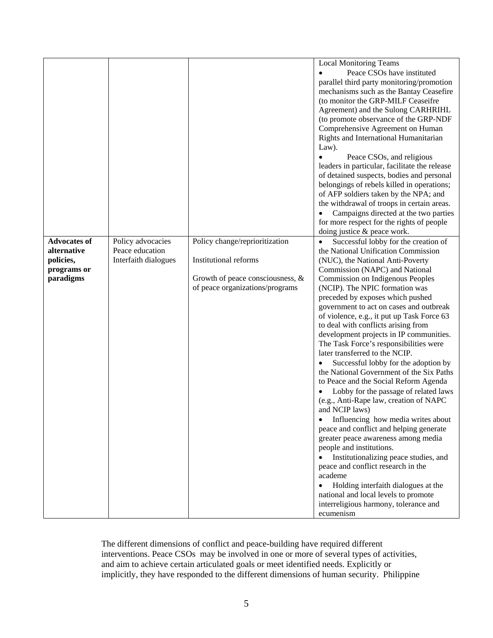|                     |                      |                                     | <b>Local Monitoring Teams</b>                                                    |
|---------------------|----------------------|-------------------------------------|----------------------------------------------------------------------------------|
|                     |                      |                                     | Peace CSOs have instituted                                                       |
|                     |                      |                                     | parallel third party monitoring/promotion                                        |
|                     |                      |                                     | mechanisms such as the Bantay Ceasefire                                          |
|                     |                      |                                     | (to monitor the GRP-MILF Ceaseifre                                               |
|                     |                      |                                     | Agreement) and the Sulong CARHRIHL                                               |
|                     |                      |                                     | (to promote observance of the GRP-NDF                                            |
|                     |                      |                                     | Comprehensive Agreement on Human                                                 |
|                     |                      |                                     | Rights and International Humanitarian                                            |
|                     |                      |                                     | Law).                                                                            |
|                     |                      |                                     | Peace CSOs, and religious                                                        |
|                     |                      |                                     | leaders in particular, facilitate the release                                    |
|                     |                      |                                     | of detained suspects, bodies and personal                                        |
|                     |                      |                                     | belongings of rebels killed in operations;                                       |
|                     |                      |                                     | of AFP soldiers taken by the NPA; and                                            |
|                     |                      |                                     | the withdrawal of troops in certain areas.                                       |
|                     |                      |                                     | Campaigns directed at the two parties                                            |
|                     |                      |                                     | for more respect for the rights of people                                        |
|                     |                      |                                     | doing justice & peace work.                                                      |
| <b>Advocates of</b> | Policy advocacies    | Policy change/reprioritization      | Successful lobby for the creation of<br>$\bullet$                                |
| alternative         | Peace education      |                                     | the National Unification Commission                                              |
| policies,           | Interfaith dialogues | <b>Institutional reforms</b>        | (NUC), the National Anti-Poverty                                                 |
| programs or         |                      |                                     | Commission (NAPC) and National                                                   |
| paradigms           |                      | Growth of peace consciousness, $\&$ | Commission on Indigenous Peoples                                                 |
|                     |                      | of peace organizations/programs     | (NCIP). The NPIC formation was                                                   |
|                     |                      |                                     | preceded by exposes which pushed                                                 |
|                     |                      |                                     | government to act on cases and outbreak                                          |
|                     |                      |                                     | of violence, e.g., it put up Task Force 63                                       |
|                     |                      |                                     | to deal with conflicts arising from<br>development projects in IP communities.   |
|                     |                      |                                     | The Task Force's responsibilities were                                           |
|                     |                      |                                     | later transferred to the NCIP.                                                   |
|                     |                      |                                     |                                                                                  |
|                     |                      |                                     | Successful lobby for the adoption by<br>the National Government of the Six Paths |
|                     |                      |                                     | to Peace and the Social Reform Agenda                                            |
|                     |                      |                                     | Lobby for the passage of related laws                                            |
|                     |                      |                                     | (e.g., Anti-Rape law, creation of NAPC                                           |
|                     |                      |                                     | and NCIP laws)                                                                   |
|                     |                      |                                     | Influencing how media writes about                                               |
|                     |                      |                                     | peace and conflict and helping generate                                          |
|                     |                      |                                     | greater peace awareness among media                                              |
|                     |                      |                                     | people and institutions.                                                         |
|                     |                      |                                     | Institutionalizing peace studies, and                                            |
|                     |                      |                                     | peace and conflict research in the                                               |
|                     |                      |                                     | academe                                                                          |
|                     |                      |                                     | Holding interfaith dialogues at the<br>$\bullet$                                 |
|                     |                      |                                     | national and local levels to promote                                             |
|                     |                      |                                     | interreligious harmony, tolerance and                                            |
|                     |                      |                                     | ecumenism                                                                        |
|                     |                      |                                     |                                                                                  |

The different dimensions of conflict and peace-building have required different interventions. Peace CSOs may be involved in one or more of several types of activities, and aim to achieve certain articulated goals or meet identified needs. Explicitly or implicitly, they have responded to the different dimensions of human security. Philippine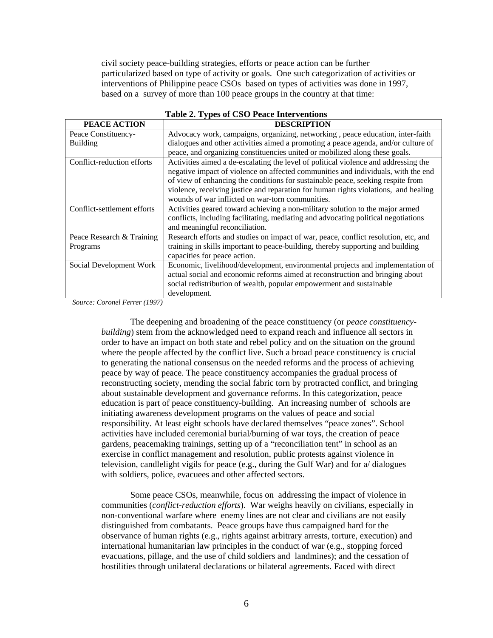civil society peace-building strategies, efforts or peace action can be further particularized based on type of activity or goals. One such categorization of activities or interventions of Philippine peace CSOs based on types of activities was done in 1997, based on a survey of more than 100 peace groups in the country at that time:

| rabic 2. Types of CSO I cace line ventions |                                                                                     |  |
|--------------------------------------------|-------------------------------------------------------------------------------------|--|
| PEACE ACTION                               | <b>DESCRIPTION</b>                                                                  |  |
| Peace Constituency-                        | Advocacy work, campaigns, organizing, networking, peace education, inter-faith      |  |
| <b>Building</b>                            | dialogues and other activities aimed a promoting a peace agenda, and/or culture of  |  |
|                                            | peace, and organizing constituencies united or mobilized along these goals.         |  |
| Conflict-reduction efforts                 | Activities aimed a de-escalating the level of political violence and addressing the |  |
|                                            | negative impact of violence on affected communities and individuals, with the end   |  |
|                                            | of view of enhancing the conditions for sustainable peace, seeking respite from     |  |
|                                            | violence, receiving justice and reparation for human rights violations, and healing |  |
|                                            | wounds of war inflicted on war-torn communities.                                    |  |
| Conflict-settlement efforts                | Activities geared toward achieving a non-military solution to the major armed       |  |
|                                            | conflicts, including facilitating, mediating and advocating political negotiations  |  |
|                                            | and meaningful reconciliation.                                                      |  |
| Peace Research & Training                  | Research efforts and studies on impact of war, peace, conflict resolution, etc, and |  |
| Programs                                   | training in skills important to peace-building, thereby supporting and building     |  |
|                                            | capacities for peace action.                                                        |  |
| Social Development Work                    | Economic, livelihood/development, environmental projects and implementation of      |  |
|                                            | actual social and economic reforms aimed at reconstruction and bringing about       |  |
|                                            | social redistribution of wealth, popular empowerment and sustainable                |  |
|                                            | development.                                                                        |  |

**Table 2. Types of CSO Peace Interventions** 

*Source: Coronel Ferrer (1997)* 

The deepening and broadening of the peace constituency (or *peace constituencybuilding*) stem from the acknowledged need to expand reach and influence all sectors in order to have an impact on both state and rebel policy and on the situation on the ground where the people affected by the conflict live. Such a broad peace constituency is crucial to generating the national consensus on the needed reforms and the process of achieving peace by way of peace. The peace constituency accompanies the gradual process of reconstructing society, mending the social fabric torn by protracted conflict, and bringing about sustainable development and governance reforms. In this categorization, peace education is part of peace constituency-building. An increasing number of schools are initiating awareness development programs on the values of peace and social responsibility. At least eight schools have declared themselves "peace zones". School activities have included ceremonial burial/burning of war toys, the creation of peace gardens, peacemaking trainings, setting up of a "reconciliation tent" in school as an exercise in conflict management and resolution, public protests against violence in television, candlelight vigils for peace (e.g., during the Gulf War) and for  $a$  dialogues with soldiers, police, evacuees and other affected sectors.

Some peace CSOs, meanwhile, focus on addressing the impact of violence in communities (*conflict-reduction efforts*). War weighs heavily on civilians, especially in non-conventional warfare where enemy lines are not clear and civilians are not easily distinguished from combatants. Peace groups have thus campaigned hard for the observance of human rights (e.g., rights against arbitrary arrests, torture, execution) and international humanitarian law principles in the conduct of war (e.g., stopping forced evacuations, pillage, and the use of child soldiers and landmines); and the cessation of hostilities through unilateral declarations or bilateral agreements. Faced with direct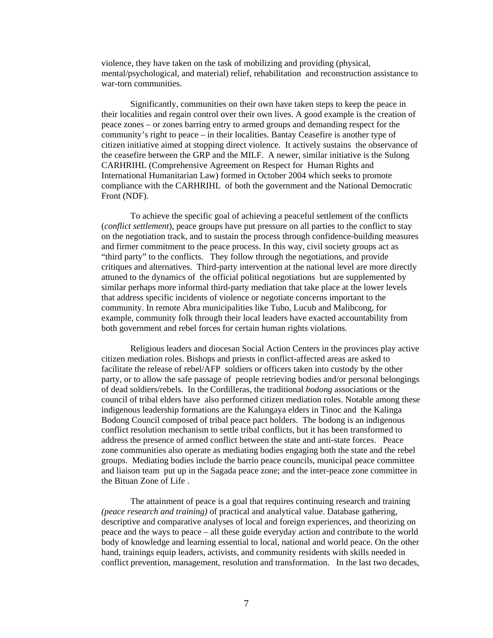violence, they have taken on the task of mobilizing and providing (physical, mental/psychological, and material) relief, rehabilitation and reconstruction assistance to war-torn communities.

Significantly, communities on their own have taken steps to keep the peace in their localities and regain control over their own lives. A good example is the creation of peace zones – or zones barring entry to armed groups and demanding respect for the community's right to peace – in their localities. Bantay Ceasefire is another type of citizen initiative aimed at stopping direct violence. It actively sustains the observance of the ceasefire between the GRP and the MILF. A newer, similar initiative is the Sulong CARHRIHL (Comprehensive Agreement on Respect for Human Rights and International Humanitarian Law) formed in October 2004 which seeks to promote compliance with the CARHRIHL of both the government and the National Democratic Front (NDF).

To achieve the specific goal of achieving a peaceful settlement of the conflicts (*conflict settlement*), peace groups have put pressure on all parties to the conflict to stay on the negotiation track, and to sustain the process through confidence-building measures and firmer commitment to the peace process. In this way, civil society groups act as "third party" to the conflicts. They follow through the negotiations, and provide critiques and alternatives. Third-party intervention at the national level are more directly attuned to the dynamics of the official political negotiations but are supplemented by similar perhaps more informal third-party mediation that take place at the lower levels that address specific incidents of violence or negotiate concerns important to the community. In remote Abra municipalities like Tubo, Lucub and Malibcong, for example, community folk through their local leaders have exacted accountability from both government and rebel forces for certain human rights violations.

Religious leaders and diocesan Social Action Centers in the provinces play active citizen mediation roles. Bishops and priests in conflict-affected areas are asked to facilitate the release of rebel/AFP soldiers or officers taken into custody by the other party, or to allow the safe passage of people retrieving bodies and/or personal belongings of dead soldiers/rebels. In the Cordilleras, the traditional *bodong* associations or the council of tribal elders have also performed citizen mediation roles. Notable among these indigenous leadership formations are the Kalungaya elders in Tinoc and the Kalinga Bodong Council composed of tribal peace pact holders. The bodong is an indigenous conflict resolution mechanism to settle tribal conflicts, but it has been transformed to address the presence of armed conflict between the state and anti-state forces. Peace zone communities also operate as mediating bodies engaging both the state and the rebel groups. Mediating bodies include the barrio peace councils, municipal peace committee and liaison team put up in the Sagada peace zone; and the inter-peace zone committee in the Bituan Zone of Life .

The attainment of peace is a goal that requires continuing research and training *(peace research and training)* of practical and analytical value. Database gathering, descriptive and comparative analyses of local and foreign experiences, and theorizing on peace and the ways to peace – all these guide everyday action and contribute to the world body of knowledge and learning essential to local, national and world peace. On the other hand, trainings equip leaders, activists, and community residents with skills needed in conflict prevention, management, resolution and transformation. In the last two decades,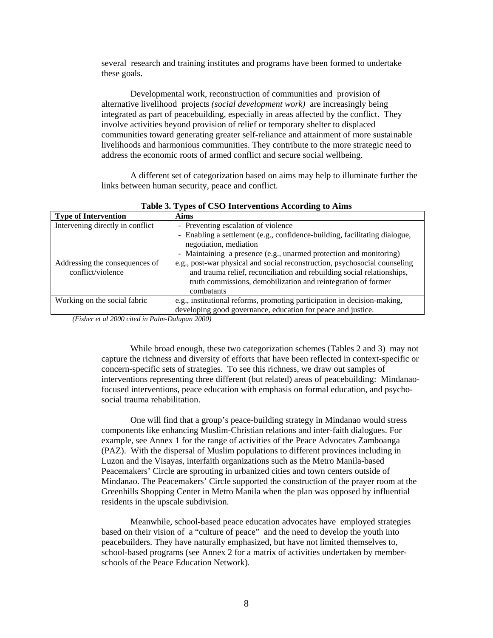several research and training institutes and programs have been formed to undertake these goals.

Developmental work, reconstruction of communities and provision of alternative livelihood projects *(social development work)* are increasingly being integrated as part of peacebuilding, especially in areas affected by the conflict. They involve activities beyond provision of relief or temporary shelter to displaced communities toward generating greater self-reliance and attainment of more sustainable livelihoods and harmonious communities. They contribute to the more strategic need to address the economic roots of armed conflict and secure social wellbeing.

A different set of categorization based on aims may help to illuminate further the links between human security, peace and conflict.

| Table 5. Types of CSO flittle vehicles According to Alliis |                                                                            |  |
|------------------------------------------------------------|----------------------------------------------------------------------------|--|
| <b>Type of Intervention</b>                                | <b>Aims</b>                                                                |  |
| Intervening directly in conflict                           | - Preventing escalation of violence                                        |  |
|                                                            | - Enabling a settlement (e.g., confidence-building, facilitating dialogue, |  |
|                                                            | negotiation, mediation                                                     |  |
|                                                            | - Maintaining a presence (e.g., unarmed protection and monitoring)         |  |
| Addressing the consequences of                             | e.g., post-war physical and social reconstruction, psychosocial counseling |  |
| conflict/violence                                          | and trauma relief, reconciliation and rebuilding social relationships,     |  |
|                                                            | truth commissions, demobilization and reintegration of former              |  |
|                                                            | combatants                                                                 |  |
| Working on the social fabric                               | e.g., institutional reforms, promoting participation in decision-making,   |  |
|                                                            | developing good governance, education for peace and justice.               |  |

**Table 3. Types of CSO Interventions According to Aims** 

*(Fisher et al 2000 cited in Palm-Dalupan 2000)* 

While broad enough, these two categorization schemes (Tables 2 and 3) may not capture the richness and diversity of efforts that have been reflected in context-specific or concern-specific sets of strategies. To see this richness, we draw out samples of interventions representing three different (but related) areas of peacebuilding: Mindanaofocused interventions, peace education with emphasis on formal education, and psychosocial trauma rehabilitation.

One will find that a group's peace-building strategy in Mindanao would stress components like enhancing Muslim-Christian relations and inter-faith dialogues. For example, see Annex 1 for the range of activities of the Peace Advocates Zamboanga (PAZ). With the dispersal of Muslim populations to different provinces including in Luzon and the Visayas, interfaith organizations such as the Metro Manila-based Peacemakers' Circle are sprouting in urbanized cities and town centers outside of Mindanao. The Peacemakers' Circle supported the construction of the prayer room at the Greenhills Shopping Center in Metro Manila when the plan was opposed by influential residents in the upscale subdivision.

Meanwhile, school-based peace education advocates have employed strategies based on their vision of a "culture of peace" and the need to develop the youth into peacebuilders. They have naturally emphasized, but have not limited themselves to, school-based programs (see Annex 2 for a matrix of activities undertaken by memberschools of the Peace Education Network).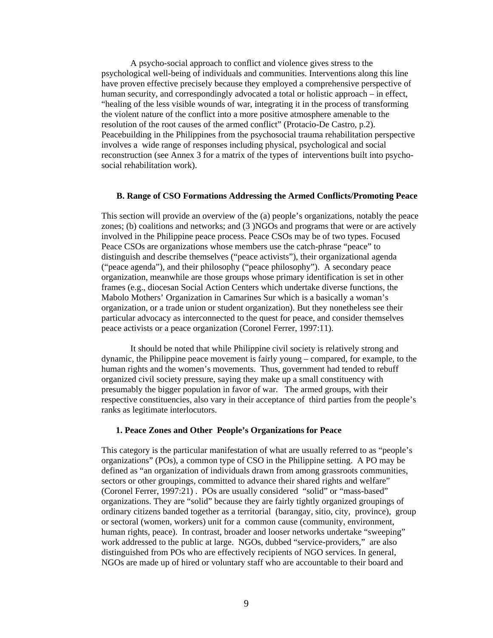A psycho-social approach to conflict and violence gives stress to the psychological well-being of individuals and communities. Interventions along this line have proven effective precisely because they employed a comprehensive perspective of human security, and correspondingly advocated a total or holistic approach – in effect, "healing of the less visible wounds of war, integrating it in the process of transforming the violent nature of the conflict into a more positive atmosphere amenable to the resolution of the root causes of the armed conflict" (Protacio-De Castro, p.2). Peacebuilding in the Philippines from the psychosocial trauma rehabilitation perspective involves a wide range of responses including physical, psychological and social reconstruction (see Annex 3 for a matrix of the types of interventions built into psychosocial rehabilitation work).

#### **B. Range of CSO Formations Addressing the Armed Conflicts/Promoting Peace**

 This section will provide an overview of the (a) people's organizations, notably the peace zones; (b) coalitions and networks; and (3 )NGOs and programs that were or are actively involved in the Philippine peace process. Peace CSOs may be of two types. Focused Peace CSOs are organizations whose members use the catch-phrase "peace" to distinguish and describe themselves ("peace activists"), their organizational agenda ("peace agenda"), and their philosophy ("peace philosophy"). A secondary peace organization, meanwhile are those groups whose primary identification is set in other frames (e.g., diocesan Social Action Centers which undertake diverse functions, the Mabolo Mothers' Organization in Camarines Sur which is a basically a woman's organization, or a trade union or student organization). But they nonetheless see their particular advocacy as interconnected to the quest for peace, and consider themselves peace activists or a peace organization (Coronel Ferrer, 1997:11).

It should be noted that while Philippine civil society is relatively strong and dynamic, the Philippine peace movement is fairly young – compared, for example, to the human rights and the women's movements. Thus, government had tended to rebuff organized civil society pressure, saying they make up a small constituency with presumably the bigger population in favor of war. The armed groups, with their respective constituencies, also vary in their acceptance of third parties from the people's ranks as legitimate interlocutors.

#### **1. Peace Zones and Other People's Organizations for Peace**

This category is the particular manifestation of what are usually referred to as "people's organizations" (POs), a common type of CSO in the Philippine setting. A PO may be defined as "an organization of individuals drawn from among grassroots communities, sectors or other groupings, committed to advance their shared rights and welfare" (Coronel Ferrer, 1997:21) . POs are usually considered "solid" or "mass-based" organizations. They are "solid" because they are fairly tightly organized groupings of ordinary citizens banded together as a territorial (barangay, sitio, city, province), group or sectoral (women, workers) unit for a common cause (community, environment, human rights, peace). In contrast, broader and looser networks undertake "sweeping" work addressed to the public at large. NGOs, dubbed "service-providers," are also distinguished from POs who are effectively recipients of NGO services. In general, NGOs are made up of hired or voluntary staff who are accountable to their board and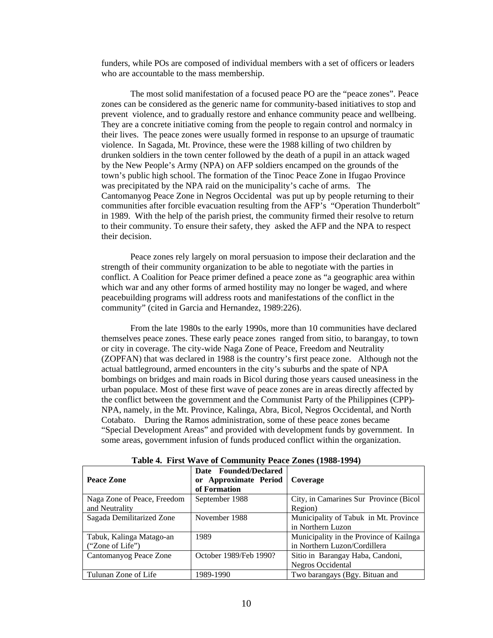funders, while POs are composed of individual members with a set of officers or leaders who are accountable to the mass membership.

The most solid manifestation of a focused peace PO are the "peace zones". Peace zones can be considered as the generic name for community-based initiatives to stop and prevent violence, and to gradually restore and enhance community peace and wellbeing. They are a concrete initiative coming from the people to regain control and normalcy in their lives. The peace zones were usually formed in response to an upsurge of traumatic violence. In Sagada, Mt. Province, these were the 1988 killing of two children by drunken soldiers in the town center followed by the death of a pupil in an attack waged by the New People's Army (NPA) on AFP soldiers encamped on the grounds of the town's public high school. The formation of the Tinoc Peace Zone in Ifugao Province was precipitated by the NPA raid on the municipality's cache of arms. The Cantomanyog Peace Zone in Negros Occidental was put up by people returning to their communities after forcible evacuation resulting from the AFP's "Operation Thunderbolt" in 1989. With the help of the parish priest, the community firmed their resolve to return to their community. To ensure their safety, they asked the AFP and the NPA to respect their decision.

Peace zones rely largely on moral persuasion to impose their declaration and the strength of their community organization to be able to negotiate with the parties in conflict. A Coalition for Peace primer defined a peace zone as "a geographic area within which war and any other forms of armed hostility may no longer be waged, and where peacebuilding programs will address roots and manifestations of the conflict in the community" (cited in Garcia and Hernandez, 1989:226).

From the late 1980s to the early 1990s, more than 10 communities have declared themselves peace zones. These early peace zones ranged from sitio, to barangay, to town or city in coverage. The city-wide Naga Zone of Peace, Freedom and Neutrality (ZOPFAN) that was declared in 1988 is the country's first peace zone. Although not the actual battleground, armed encounters in the city's suburbs and the spate of NPA bombings on bridges and main roads in Bicol during those years caused uneasiness in the urban populace. Most of these first wave of peace zones are in areas directly affected by the conflict between the government and the Communist Party of the Philippines (CPP)- NPA, namely, in the Mt. Province, Kalinga, Abra, Bicol, Negros Occidental, and North Cotabato. During the Ramos administration, some of these peace zones became "Special Development Areas" and provided with development funds by government. In some areas, government infusion of funds produced conflict within the organization.

| THE IS THE THREE OF COMMUNIST FORCE EQUIVE (1900 1991) |                                                                |                                         |
|--------------------------------------------------------|----------------------------------------------------------------|-----------------------------------------|
| Peace Zone                                             | Date Founded/Declared<br>or Approximate Period<br>of Formation | Coverage                                |
| Naga Zone of Peace, Freedom                            | September 1988                                                 | City, in Camarines Sur Province (Bicol) |
| and Neutrality                                         |                                                                | Region)                                 |
| Sagada Demilitarized Zone                              | November 1988                                                  | Municipality of Tabuk in Mt. Province   |
|                                                        |                                                                | in Northern Luzon                       |
| Tabuk, Kalinga Matago-an                               | 1989                                                           | Municipality in the Province of Kailnga |
| ("Zone of Life")                                       |                                                                | in Northern Luzon/Cordillera            |
| Cantomanyog Peace Zone                                 | October 1989/Feb 1990?                                         | Sitio in Barangay Haba, Candoni,        |
|                                                        |                                                                | Negros Occidental                       |
| Tulunan Zone of Life                                   | 1989-1990                                                      | Two barangays (Bgy. Bituan and          |

**Table 4. First Wave of Community Peace Zones (1988-1994)**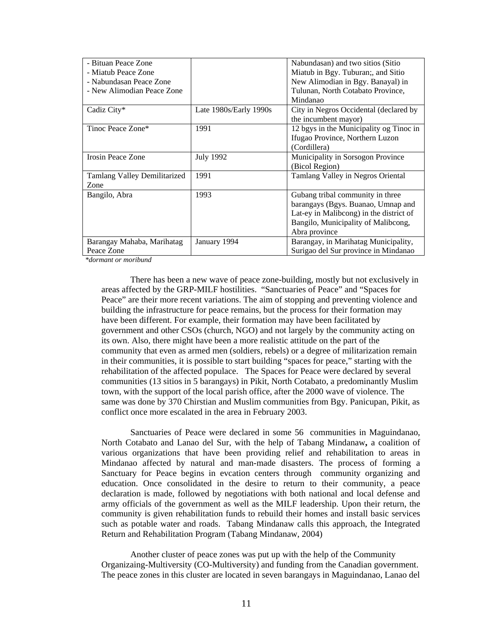| - Bituan Peace Zone          |                        | Nabundasan) and two sitios (Sitio       |
|------------------------------|------------------------|-----------------------------------------|
| - Miatub Peace Zone          |                        | Miatub in Bgy. Tuburan;, and Sitio      |
| - Nabundasan Peace Zone      |                        | New Alimodian in Bgy. Banayal) in       |
| - New Alimodian Peace Zone   |                        | Tulunan, North Cotabato Province,       |
|                              |                        | Mindanao                                |
| Cadiz City*                  | Late 1980s/Early 1990s | City in Negros Occidental (declared by  |
|                              |                        | the incumbent mayor)                    |
| Tinoc Peace Zone*            | 1991                   | 12 bgys in the Municipality og Tinoc in |
|                              |                        | Ifugao Province, Northern Luzon         |
|                              |                        | (Cordillera)                            |
| Irosin Peace Zone            | <b>July 1992</b>       | Municipality in Sorsogon Province       |
|                              |                        | (Bicol Region)                          |
| Tamlang Valley Demilitarized | 1991                   | Tamlang Valley in Negros Oriental       |
| Zone                         |                        |                                         |
| Bangilo, Abra                | 1993                   | Gubang tribal community in three        |
|                              |                        | barangays (Bgys. Buanao, Umnap and      |
|                              |                        | Lat-ey in Malibcong) in the district of |
|                              |                        | Bangilo, Municipality of Malibcong,     |
|                              |                        | Abra province                           |
| Barangay Mahaba, Marihatag   | January 1994           | Barangay, in Marihatag Municipality,    |
| Peace Zone                   |                        | Surigao del Sur province in Mindanao    |

 *\*dormant or moribund* 

There has been a new wave of peace zone-building, mostly but not exclusively in areas affected by the GRP-MILF hostilities. "Sanctuaries of Peace" and "Spaces for Peace" are their more recent variations. The aim of stopping and preventing violence and building the infrastructure for peace remains, but the process for their formation may have been different. For example, their formation may have been facilitated by government and other CSOs (church, NGO) and not largely by the community acting on its own. Also, there might have been a more realistic attitude on the part of the community that even as armed men (soldiers, rebels) or a degree of militarization remain in their communities, it is possible to start building "spaces for peace," starting with the rehabilitation of the affected populace. The Spaces for Peace were declared by several communities (13 sitios in 5 barangays) in Pikit, North Cotabato, a predominantly Muslim town, with the support of the local parish office, after the 2000 wave of violence. The same was done by 370 Chirstian and Muslim communities from Bgy. Panicupan, Pikit, as conflict once more escalated in the area in February 2003.

Sanctuaries of Peace were declared in some 56 communities in Maguindanao, North Cotabato and Lanao del Sur, with the help of Tabang Mindanaw**,** a coalition of various organizations that have been providing relief and rehabilitation to areas in Mindanao affected by natural and man-made disasters. The process of forming a Sanctuary for Peace begins in evcation centers through community organizing and education. Once consolidated in the desire to return to their community, a peace declaration is made, followed by negotiations with both national and local defense and army officials of the government as well as the MILF leadership. Upon their return, the community is given rehabilitation funds to rebuild their homes and install basic services such as potable water and roads. Tabang Mindanaw calls this approach, the Integrated Return and Rehabilitation Program (Tabang Mindanaw, 2004)

Another cluster of peace zones was put up with the help of the Community Organizaing-Multiversity (CO-Multiversity) and funding from the Canadian government. The peace zones in this cluster are located in seven barangays in Maguindanao, Lanao del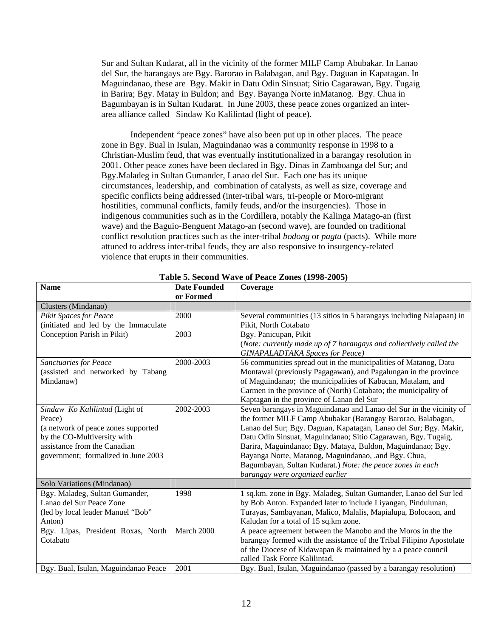Sur and Sultan Kudarat, all in the vicinity of the former MILF Camp Abubakar. In Lanao del Sur, the barangays are Bgy. Barorao in Balabagan, and Bgy. Daguan in Kapatagan. In Maguindanao, these are Bgy. Makir in Datu Odin Sinsuat; Sitio Cagarawan, Bgy. Tugaig in Barira; Bgy. Matay in Buldon; and Bgy. Bayanga Norte inMatanog. Bgy. Chua in Bagumbayan is in Sultan Kudarat. In June 2003, these peace zones organized an interarea alliance called Sindaw Ko Kalilintad (light of peace).

Independent "peace zones" have also been put up in other places. The peace zone in Bgy. Bual in Isulan, Maguindanao was a community response in 1998 to a Christian-Muslim feud, that was eventually institutionalized in a barangay resolution in 2001. Other peace zones have been declared in Bgy. Dinas in Zamboanga del Sur; and Bgy.Maladeg in Sultan Gumander, Lanao del Sur. Each one has its unique circumstances, leadership, and combination of catalysts, as well as size, coverage and specific conflicts being addressed (inter-tribal wars, tri-people or Moro-migrant hostilities, communal conflicts, family feuds, and/or the insurgencies). Those in indigenous communities such as in the Cordillera, notably the Kalinga Matago-an (first wave) and the Baguio-Benguent Matago-an (second wave), are founded on traditional conflict resolution practices such as the inter-tribal *bodong* or *pagta* (pacts). While more attuned to address inter-tribal feuds, they are also responsive to insurgency-related violence that erupts in their communities.

| <b>Name</b>                                                                                                                                                                           | <b>Date Founded</b><br>or Formed | Coverage                                                                                                                                                                                                                                                                                                                                                                                                                                                                                         |
|---------------------------------------------------------------------------------------------------------------------------------------------------------------------------------------|----------------------------------|--------------------------------------------------------------------------------------------------------------------------------------------------------------------------------------------------------------------------------------------------------------------------------------------------------------------------------------------------------------------------------------------------------------------------------------------------------------------------------------------------|
| Clusters (Mindanao)                                                                                                                                                                   |                                  |                                                                                                                                                                                                                                                                                                                                                                                                                                                                                                  |
| Pikit Spaces for Peace<br>(initiated and led by the Immaculate<br>Conception Parish in Pikit)                                                                                         | 2000<br>2003                     | Several communities (13 sitios in 5 barangays including Nalapaan) in<br>Pikit, North Cotabato<br>Bgy. Panicupan, Pikit<br>(Note: currently made up of 7 barangays and collectively called the<br><b>GINAPALADTAKA</b> Spaces for Peace)                                                                                                                                                                                                                                                          |
| <b>Sanctuaries for Peace</b><br>(assisted and networked by Tabang<br>Mindanaw)                                                                                                        | 2000-2003                        | 56 communities spread out in the municipalities of Matanog, Datu<br>Montawal (previously Pagagawan), and Pagalungan in the province<br>of Maguindanao; the municipalities of Kabacan, Matalam, and<br>Carmen in the province of (North) Cotabato; the municipality of<br>Kaptagan in the province of Lanao del Sur                                                                                                                                                                               |
| Sindaw Ko Kalilintad (Light of<br>Peace)<br>(a network of peace zones supported<br>by the CO-Multiversity with<br>assistance from the Canadian<br>government; formalized in June 2003 | 2002-2003                        | Seven barangays in Maguindanao and Lanao del Sur in the vicinity of<br>the former MILF Camp Abubakar (Barangay Barorao, Balabagan,<br>Lanao del Sur; Bgy. Daguan, Kapatagan, Lanao del Sur; Bgy. Makir,<br>Datu Odin Sinsuat, Maguindanao; Sitio Cagarawan, Bgy. Tugaig,<br>Barira, Maguindanao; Bgy. Mataya, Buldon, Maguindanao; Bgy.<br>Bayanga Norte, Matanog, Maguindanao, .and Bgy. Chua,<br>Bagumbayan, Sultan Kudarat.) Note: the peace zones in each<br>barangay were organized earlier |
| Solo Variations (Mindanao)                                                                                                                                                            |                                  |                                                                                                                                                                                                                                                                                                                                                                                                                                                                                                  |
| Bgy. Maladeg, Sultan Gumander,<br>Lanao del Sur Peace Zone<br>(led by local leader Manuel "Bob"<br>Anton)                                                                             | 1998                             | 1 sq.km. zone in Bgy. Maladeg, Sultan Gumander, Lanao del Sur led<br>by Bob Anton. Expanded later to include Liyangan, Pindulunan,<br>Turayas, Sambayanan, Malico, Malalis, Mapialupa, Bolocaon, and<br>Kaludan for a total of 15 sq.km zone.                                                                                                                                                                                                                                                    |
| Bgy. Lipas, President Roxas, North<br>Cotabato                                                                                                                                        | March 2000                       | A peace agreement between the Manobo and the Moros in the the<br>barangay formed with the assistance of the Tribal Filipino Apostolate<br>of the Diocese of Kidawapan & maintained by a a peace council<br>called Task Force Kalilintad.                                                                                                                                                                                                                                                         |
| Bgy. Bual, Isulan, Maguindanao Peace                                                                                                                                                  | 2001                             | Bgy. Bual, Isulan, Maguindanao (passed by a barangay resolution)                                                                                                                                                                                                                                                                                                                                                                                                                                 |

#### **Table 5. Second Wave of Peace Zones (1998-2005)**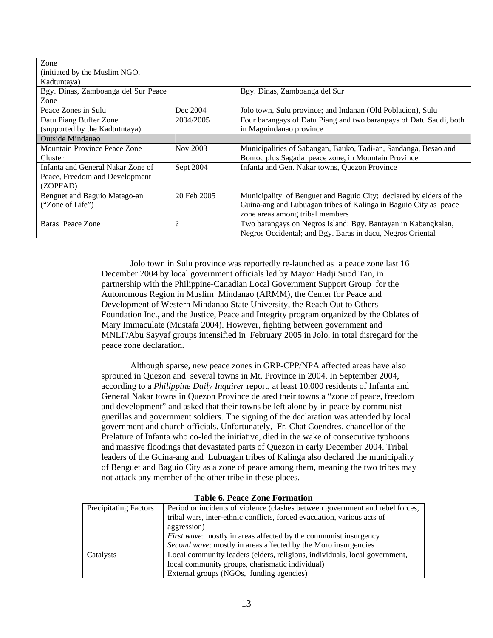| Zone<br>(initiated by the Muslim NGO,<br>Kadtuntaya)                            |             |                                                                                                                                                                           |
|---------------------------------------------------------------------------------|-------------|---------------------------------------------------------------------------------------------------------------------------------------------------------------------------|
| Bgy. Dinas, Zamboanga del Sur Peace<br>Zone                                     |             | Bgy. Dinas, Zamboanga del Sur                                                                                                                                             |
| Peace Zones in Sulu                                                             | Dec 2004    | Jolo town, Sulu province; and Indanan (Old Poblacion), Sulu                                                                                                               |
| Datu Piang Buffer Zone<br>(supported by the Kadtutntaya)                        | 2004/2005   | Four barangays of Datu Piang and two barangays of Datu Saudi, both<br>in Maguindanao province                                                                             |
| <b>Outside Mindanao</b>                                                         |             |                                                                                                                                                                           |
| Mountain Province Peace Zone<br>Cluster                                         | Nov 2003    | Municipalities of Sabangan, Bauko, Tadi-an, Sandanga, Besao and<br>Bontoc plus Sagada peace zone, in Mountain Province                                                    |
| Infanta and General Nakar Zone of<br>Peace, Freedom and Development<br>(ZOPFAD) | Sept 2004   | Infanta and Gen. Nakar towns, Quezon Province                                                                                                                             |
| Benguet and Baguio Matago-an<br>("Zone of Life")                                | 20 Feb 2005 | Municipality of Benguet and Baguio City; declared by elders of the<br>Guina-ang and Lubuagan tribes of Kalinga in Baguio City as peace<br>zone areas among tribal members |
| Baras Peace Zone                                                                | $\gamma$    | Two barangays on Negros Island: Bgy. Bantayan in Kabangkalan,<br>Negros Occidental; and Bgy. Baras in dacu, Negros Oriental                                               |

Jolo town in Sulu province was reportedly re-launched as a peace zone last 16 December 2004 by local government officials led by Mayor Hadji Suod Tan, in partnership with the Philippine-Canadian Local Government Support Group for the Autonomous Region in Muslim Mindanao (ARMM), the Center for Peace and Development of Western Mindanao State University, the Reach Out to Others Foundation Inc., and the Justice, Peace and Integrity program organized by the Oblates of Mary Immaculate (Mustafa 2004). However, fighting between government and MNLF/Abu Sayyaf groups intensified in February 2005 in Jolo, in total disregard for the peace zone declaration.

Although sparse, new peace zones in GRP-CPP/NPA affected areas have also sprouted in Quezon and several towns in Mt. Province in 2004. In September 2004, according to a *Philippine Daily Inquirer* report, at least 10,000 residents of Infanta and General Nakar towns in Quezon Province delared their towns a "zone of peace, freedom and development" and asked that their towns be left alone by in peace by communist guerillas and government soldiers. The signing of the declaration was attended by local government and church officials. Unfortunately, Fr. Chat Coendres, chancellor of the Prelature of Infanta who co-led the initiative, died in the wake of consecutive typhoons and massive floodings that devastated parts of Quezon in early December 2004. Tribal leaders of the Guina-ang and Lubuagan tribes of Kalinga also declared the municipality of Benguet and Baguio City as a zone of peace among them, meaning the two tribes may not attack any member of the other tribe in these places.

| <b>Precipitating Factors</b> | Period or incidents of violence (clashes between government and rebel forces, |
|------------------------------|-------------------------------------------------------------------------------|
|                              | tribal wars, inter-ethnic conflicts, forced evacuation, various acts of       |
|                              | aggression)                                                                   |
|                              | <i>First wave:</i> mostly in areas affected by the communist insurgency       |
|                              | <i>Second wave:</i> mostly in areas affected by the Moro insurgencies         |
| Catalysts                    | Local community leaders (elders, religious, individuals, local government,    |
|                              | local community groups, charismatic individual)                               |
|                              | External groups (NGOs, funding agencies)                                      |

#### **Table 6. Peace Zone Formation**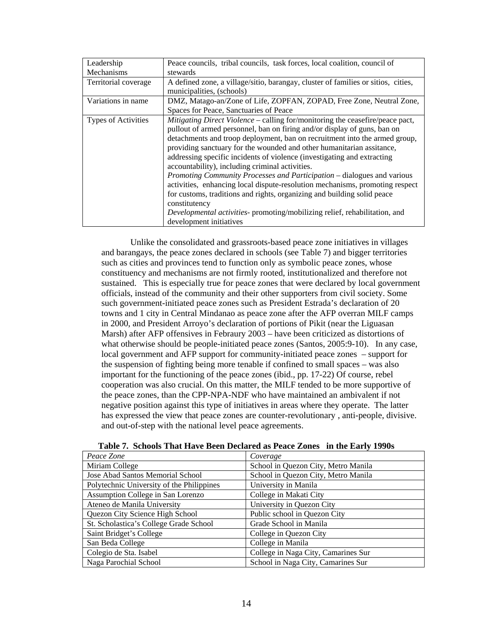| Leadership                 | Peace councils, tribal councils, task forces, local coalition, council of         |
|----------------------------|-----------------------------------------------------------------------------------|
| Mechanisms                 | stewards                                                                          |
| Territorial coverage       | A defined zone, a village/sitio, barangay, cluster of families or sitios, cities, |
|                            | municipalities, (schools)                                                         |
| Variations in name         | DMZ, Matago-an/Zone of Life, ZOPFAN, ZOPAD, Free Zone, Neutral Zone,              |
|                            | Spaces for Peace, Sanctuaries of Peace                                            |
| <b>Types of Activities</b> | Mitigating Direct Violence – calling for/monitoring the ceasefire/peace pact,     |
|                            | pullout of armed personnel, ban on firing and/or display of guns, ban on          |
|                            | detachments and troop deployment, ban on recruitment into the armed group,        |
|                            | providing sanctuary for the wounded and other humanitarian assitance,             |
|                            | addressing specific incidents of violence (investigating and extracting           |
|                            | accountability), including criminal activities.                                   |
|                            | Promoting Community Processes and Participation - dialogues and various           |
|                            | activities, enhancing local dispute-resolution mechanisms, promoting respect      |
|                            | for customs, traditions and rights, organizing and building solid peace           |
|                            | constitutency                                                                     |
|                            | Developmental activities- promoting/mobilizing relief, rehabilitation, and        |
|                            | development initiatives                                                           |

 Unlike the consolidated and grassroots-based peace zone initiatives in villages and barangays, the peace zones declared in schools (see Table 7) and bigger territories such as cities and provinces tend to function only as symbolic peace zones, whose constituency and mechanisms are not firmly rooted, institutionalized and therefore not sustained. This is especially true for peace zones that were declared by local government officials, instead of the community and their other supporters from civil society. Some such government-initiated peace zones such as President Estrada's declaration of 20 towns and 1 city in Central Mindanao as peace zone after the AFP overran MILF camps in 2000, and President Arroyo's declaration of portions of Pikit (near the Liguasan Marsh) after AFP offensives in Febraury 2003 – have been criticized as distortions of what otherwise should be people-initiated peace zones (Santos, 2005:9-10). In any case, local government and AFP support for community-initiated peace zones – support for the suspension of fighting being more tenable if confined to small spaces – was also important for the functioning of the peace zones (ibid., pp. 17-22) Of course, rebel cooperation was also crucial. On this matter, the MILF tended to be more supportive of the peace zones, than the CPP-NPA-NDF who have maintained an ambivalent if not negative position against this type of initiatives in areas where they operate. The latter has expressed the view that peace zones are counter-revolutionary , anti-people, divisive. and out-of-step with the national level peace agreements.

| Peace Zone                                | Coverage                            |
|-------------------------------------------|-------------------------------------|
| Miriam College                            | School in Quezon City, Metro Manila |
| Jose Abad Santos Memorial School          | School in Quezon City, Metro Manila |
| Polytechnic University of the Philippines | University in Manila                |
| Assumption College in San Lorenzo         | College in Makati City              |
| Ateneo de Manila University               | University in Quezon City           |
| Quezon City Science High School           | Public school in Quezon City        |
| St. Scholastica's College Grade School    | Grade School in Manila              |
| Saint Bridget's College                   | College in Quezon City              |
| San Beda College                          | College in Manila                   |
| Colegio de Sta. Isabel                    | College in Naga City, Camarines Sur |
| Naga Parochial School                     | School in Naga City, Camarines Sur  |

**Table 7. Schools That Have Been Declared as Peace Zones in the Early 1990s**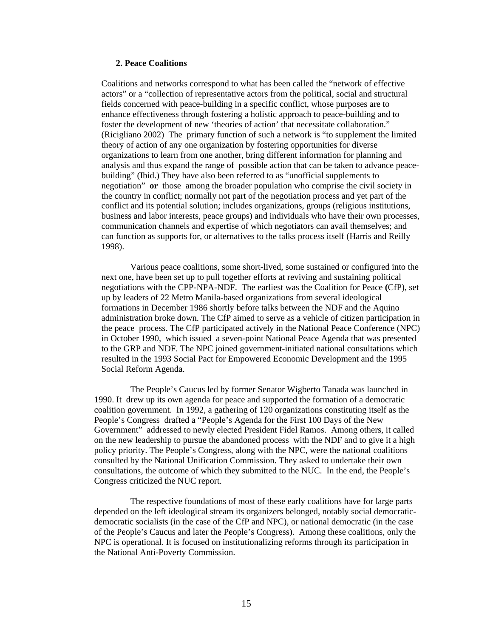#### **2. Peace Coalitions**

Coalitions and networks correspond to what has been called the "network of effective actors" or a "collection of representative actors from the political, social and structural fields concerned with peace-building in a specific conflict, whose purposes are to enhance effectiveness through fostering a holistic approach to peace-building and to foster the development of new 'theories of action' that necessitate collaboration." (Ricigliano 2002) The primary function of such a network is "to supplement the limited theory of action of any one organization by fostering opportunities for diverse organizations to learn from one another, bring different information for planning and analysis and thus expand the range of possible action that can be taken to advance peacebuilding" (Ibid.) They have also been referred to as "unofficial supplements to negotiation" **or** those among the broader population who comprise the civil society in the country in conflict; normally not part of the negotiation process and yet part of the conflict and its potential solution; includes organizations, groups (religious institutions, business and labor interests, peace groups) and individuals who have their own processes, communication channels and expertise of which negotiators can avail themselves; and can function as supports for, or alternatives to the talks process itself (Harris and Reilly 1998).

 Various peace coalitions, some short-lived, some sustained or configured into the next one, have been set up to pull together efforts at reviving and sustaining political negotiations with the CPP-NPA-NDF. The earliest was the Coalition for Peace **(**CfP), set up by leaders of 22 Metro Manila-based organizations from several ideological formations in December 1986 shortly before talks between the NDF and the Aquino administration broke down. The CfP aimed to serve as a vehicle of citizen participation in the peace process. The CfP participated actively in the National Peace Conference (NPC) in October 1990, which issued a seven-point National Peace Agenda that was presented to the GRP and NDF. The NPC joined government-initiated national consultations which resulted in the 1993 Social Pact for Empowered Economic Development and the 1995 Social Reform Agenda.

 The People's Caucus led by former Senator Wigberto Tanada was launched in 1990. It drew up its own agenda for peace and supported the formation of a democratic coalition government. In 1992, a gathering of 120 organizations constituting itself as the People's Congress drafted a "People's Agenda for the First 100 Days of the New Government" addressed to newly elected President Fidel Ramos. Among others, it called on the new leadership to pursue the abandoned process with the NDF and to give it a high policy priority. The People's Congress, along with the NPC, were the national coalitions consulted by the National Unification Commission. They asked to undertake their own consultations, the outcome of which they submitted to the NUC. In the end, the People's Congress criticized the NUC report.

 The respective foundations of most of these early coalitions have for large parts depended on the left ideological stream its organizers belonged, notably social democraticdemocratic socialists (in the case of the CfP and NPC), or national democratic (in the case of the People's Caucus and later the People's Congress). Among these coalitions, only the NPC is operational. It is focused on institutionalizing reforms through its participation in the National Anti-Poverty Commission.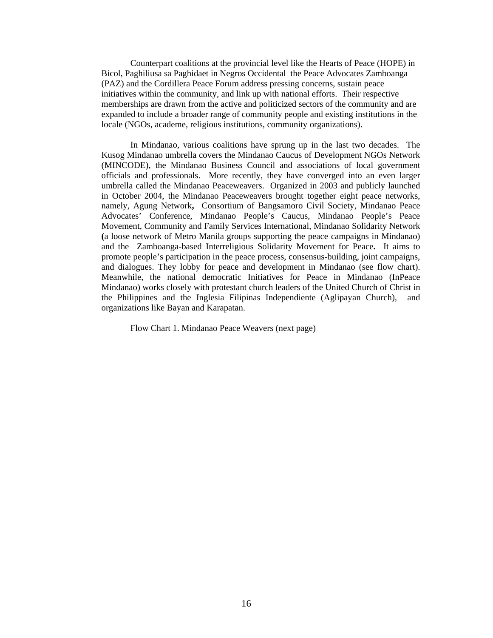Counterpart coalitions at the provincial level like the Hearts of Peace (HOPE) in Bicol, Paghiliusa sa Paghidaet in Negros Occidentalthe Peace Advocates Zamboanga (PAZ) and the Cordillera Peace Forum address pressing concerns, sustain peace initiatives within the community, and link up with national efforts. Their respective memberships are drawn from the active and politicized sectors of the community and are expanded to include a broader range of community people and existing institutions in the locale (NGOs, academe, religious institutions, community organizations).

In Mindanao, various coalitions have sprung up in the last two decades. The Kusog Mindanao umbrella covers the Mindanao Caucus of Development NGOs Network (MINCODE), the Mindanao Business Council and associations of local government officials and professionals. More recently, they have converged into an even larger umbrella called the Mindanao Peaceweavers. Organized in 2003 and publicly launched in October 2004, the Mindanao Peaceweavers brought together eight peace networks, namely, Agung Network**,** Consortium of Bangsamoro Civil Society, Mindanao Peace Advocates' Conference, Mindanao People's Caucus, Mindanao People's Peace Movement, Community and Family Services International, Mindanao Solidarity Network **(**a loose network of Metro Manila groups supporting the peace campaigns in Mindanao) and the Zamboanga-based Interreligious Solidarity Movement for Peace**.** It aims to promote people's participation in the peace process, consensus-building, joint campaigns, and dialogues. They lobby for peace and development in Mindanao (see flow chart). Meanwhile, the national democratic Initiatives for Peace in Mindanao (InPeace Mindanao) works closely with protestant church leaders of the United Church of Christ in the Philippines and the Inglesia Filipinas Independiente (Aglipayan Church), and organizations like Bayan and Karapatan.

Flow Chart 1. Mindanao Peace Weavers (next page)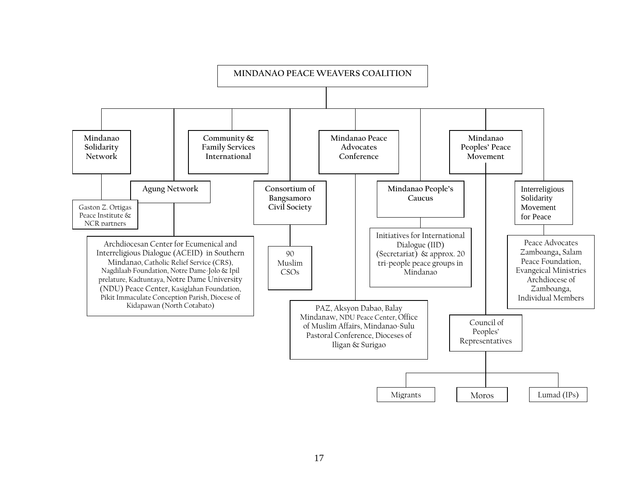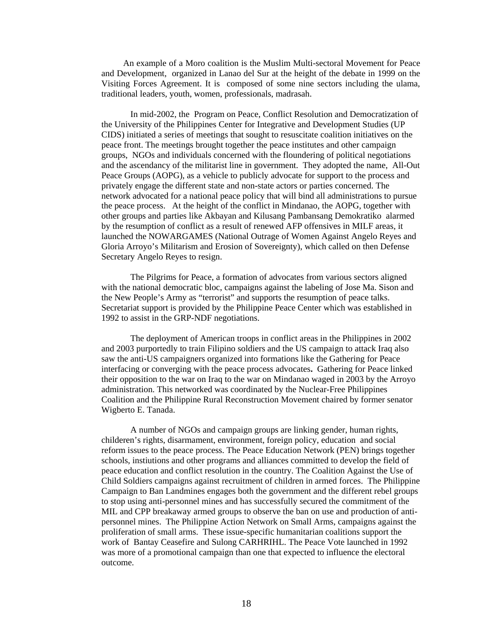An example of a Moro coalition is the Muslim Multi-sectoral Movement for Peace and Development, organized in Lanao del Sur at the height of the debate in 1999 on the Visiting Forces Agreement. It is composed of some nine sectors including the ulama, traditional leaders, youth, women, professionals, madrasah.

 In mid-2002, the Program on Peace, Conflict Resolution and Democratization of the University of the Philippines Center for Integrative and Development Studies (UP CIDS) initiated a series of meetings that sought to resuscitate coalition initiatives on the peace front. The meetings brought together the peace institutes and other campaign groups, NGOs and individuals concerned with the floundering of political negotiations and the ascendancy of the militarist line in government. They adopted the name, All-Out Peace Groups (AOPG), as a vehicle to publicly advocate for support to the process and privately engage the different state and non-state actors or parties concerned. The network advocated for a national peace policy that will bind all administrations to pursue the peace process. At the height of the conflict in Mindanao, the AOPG, together with other groups and parties like Akbayan and Kilusang Pambansang Demokratiko alarmed by the resumption of conflict as a result of renewed AFP offensives in MILF areas, it launched the NOWARGAMES (National Outrage of Women Against Angelo Reyes and Gloria Arroyo's Militarism and Erosion of Sovereignty), which called on then Defense Secretary Angelo Reyes to resign.

 The Pilgrims for Peace, a formation of advocates from various sectors aligned with the national democratic bloc, campaigns against the labeling of Jose Ma. Sison and the New People's Army as "terrorist" and supports the resumption of peace talks. Secretariat support is provided by the Philippine Peace Center which was established in 1992 to assist in the GRP-NDF negotiations.

 The deployment of American troops in conflict areas in the Philippines in 2002 and 2003 purportedly to train Filipino soldiers and the US campaign to attack Iraq also saw the anti-US campaigners organized into formations like the Gathering for Peace interfacing or converging with the peace process advocates**.** Gathering for Peace linked their opposition to the war on Iraq to the war on Mindanao waged in 2003 by the Arroyo administration. This networked was coordinated by the Nuclear-Free Philippines Coalition and the Philippine Rural Reconstruction Movement chaired by former senator Wigberto E. Tanada.

A number of NGOs and campaign groups are linking gender, human rights, childeren's rights, disarmament, environment, foreign policy, education and social reform issues to the peace process. The Peace Education Network (PEN) brings together schools, instiutions and other programs and alliances committed to develop the field of peace education and conflict resolution in the country. The Coalition Against the Use of Child Soldiers campaigns against recruitment of children in armed forces. The Philippine Campaign to Ban Landmines engages both the government and the different rebel groups to stop using anti-personnel mines and has successfully secured the commitment of the MIL and CPP breakaway armed groups to observe the ban on use and production of antipersonnel mines. The Philippine Action Network on Small Arms, campaigns against the proliferation of small arms. These issue-specific humanitarian coalitions support the work of Bantay Ceasefire and Sulong CARHRIHL. The Peace Vote launched in 1992 was more of a promotional campaign than one that expected to influence the electoral outcome.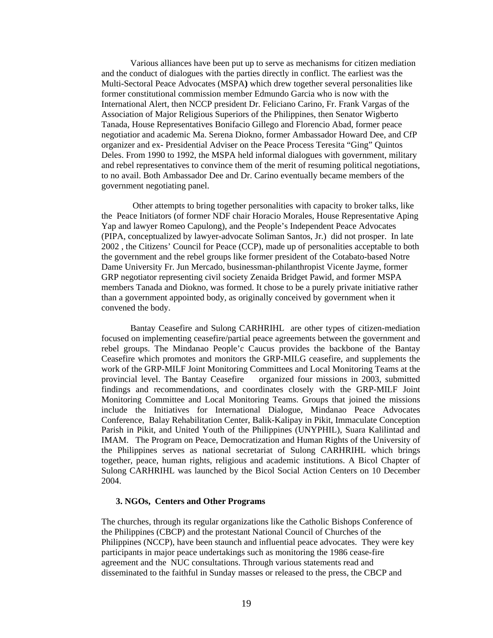Various alliances have been put up to serve as mechanisms for citizen mediation and the conduct of dialogues with the parties directly in conflict. The earliest was the Multi-Sectoral Peace Advocates (MSPA**)** which drew together several personalities like former constitutional commission member Edmundo Garcia who is now with the International Alert, then NCCP president Dr. Feliciano Carino, Fr. Frank Vargas of the Association of Major Religious Superiors of the Philippines, then Senator Wigberto Tanada, House Representatives Bonifacio Gillego and Florencio Abad, former peace negotiatior and academic Ma. Serena Diokno, former Ambassador Howard Dee, and CfP organizer and ex- Presidential Adviser on the Peace Process Teresita "Ging" Quintos Deles. From 1990 to 1992, the MSPA held informal dialogues with government, military and rebel representatives to convince them of the merit of resuming political negotiations, to no avail. Both Ambassador Dee and Dr. Carino eventually became members of the government negotiating panel.

 Other attempts to bring together personalities with capacity to broker talks, like the Peace Initiators (of former NDF chair Horacio Morales, House Representative Aping Yap and lawyer Romeo Capulong), and the People's Independent Peace Advocates (PIPA, conceptualized by lawyer-advocate Soliman Santos, Jr.) did not prosper. In late 2002 , the Citizens' Council for Peace (CCP), made up of personalities acceptable to both the government and the rebel groups like former president of the Cotabato-based Notre Dame University Fr. Jun Mercado, businessman-philanthropist Vicente Jayme, former GRP negotiator representing civil society Zenaida Bridget Pawid, and former MSPA members Tanada and Diokno, was formed. It chose to be a purely private initiative rather than a government appointed body, as originally conceived by government when it convened the body.

Bantay Ceasefire and Sulong CARHRIHL are other types of citizen-mediation focused on implementing ceasefire/partial peace agreements between the government and rebel groups. The Mindanao People'c Caucus provides the backbone of the Bantay Ceasefire which promotes and monitors the GRP-MILG ceasefire, and supplements the work of the GRP-MILF Joint Monitoring Committees and Local Monitoring Teams at the provincial level. The Bantay Ceasefire organized four missions in 2003, submitted findings and recommendations, and coordinates closely with the GRP-MILF Joint Monitoring Committee and Local Monitoring Teams. Groups that joined the missions include the Initiatives for International Dialogue, Mindanao Peace Advocates Conference, Balay Rehabilitation Center, Balik-Kalipay in Pikit, Immaculate Conception Parish in Pikit, and United Youth of the Philippines (UNYPHIL), Suara Kalilintad and IMAM. The Program on Peace, Democratization and Human Rights of the University of the Philippines serves as national secretariat of Sulong CARHRIHL which brings together, peace, human rights, religious and academic institutions. A Bicol Chapter of Sulong CARHRIHL was launched by the Bicol Social Action Centers on 10 December 2004.

#### **3. NGOs, Centers and Other Programs**

The churches, through its regular organizations like the Catholic Bishops Conference of the Philippines (CBCP) and the protestant National Council of Churches of the Philippines (NCCP), have been staunch and influential peace advocates. They were key participants in major peace undertakings such as monitoring the 1986 cease-fire agreement and the NUC consultations. Through various statements read and disseminated to the faithful in Sunday masses or released to the press, the CBCP and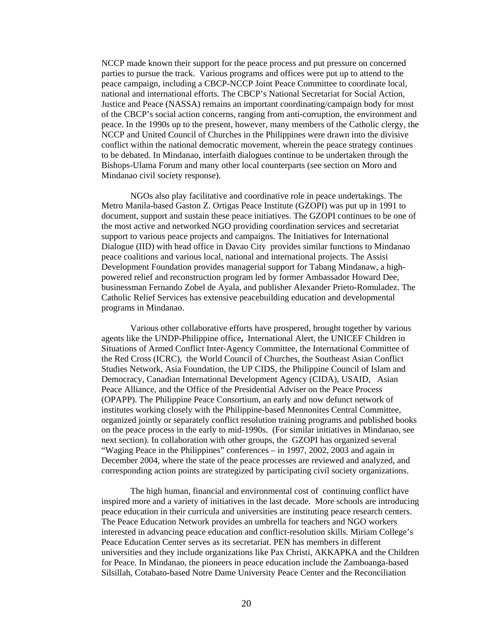NCCP made known their support for the peace process and put pressure on concerned parties to pursue the track. Various programs and offices were put up to attend to the peace campaign, including a CBCP-NCCP Joint Peace Committee to coordinate local, national and international efforts. The CBCP's National Secretariat for Social Action, Justice and Peace (NASSA) remains an important coordinating/campaign body for most of the CBCP's social action concerns, ranging from anti-corruption, the environment and peace. In the 1990s up to the present, however, many members of the Catholic clergy, the NCCP and United Council of Churches in the Philippines were drawn into the divisive conflict within the national democratic movement, wherein the peace strategy continues to be debated. In Mindanao, interfaith dialogues continue to be undertaken through the Bishops-Ulama Forum and many other local counterparts (see section on Moro and Mindanao civil society response).

NGOs also play facilitative and coordinative role in peace undertakings. The Metro Manila-based Gaston Z. Ortigas Peace Institute (GZOPI) was put up in 1991 to document, support and sustain these peace initiatives. The GZOPI continues to be one of the most active and networked NGO providing coordination services and secretariat support to various peace projects and campaigns. The Initiatives for International Dialogue (IID) with head office in Davao City provides similar functions to Mindanao peace coalitions and various local, national and international projects. The Assisi Development Foundation provides managerial support for Tabang Mindanaw, a highpowered relief and reconstruction program led by former Ambassador Howard Dee, businessman Fernando Zobel de Ayala, and publisher Alexander Prieto-Romuladez. The Catholic Relief Services has extensive peacebuilding education and developmental programs in Mindanao.

Various other collaborative efforts have prospered, brought together by various agents like the UNDP-Philippine office**,** International Alert, the UNICEF Children in Situations of Armed Conflict Inter-Agency Committee, the International Committee of the Red Cross (ICRC), the World Council of Churches, the Southeast Asian Conflict Studies Network, Asia Foundation, the UP CIDS, the Philippine Council of Islam and Democracy, Canadian International Development Agency (CIDA), USAID, Asian Peace Alliance, and the Office of the Presidential Adviser on the Peace Process (OPAPP). The Philippine Peace Consortium, an early and now defunct network of institutes working closely with the Philippine-based Mennonites Central Committee, organized jointly or separately conflict resolution training programs and published books on the peace process in the early to mid-1990s. (For similar initiatives in Mindanao, see next section). In collaboration with other groups, the GZOPI has organized several "Waging Peace in the Philippines" conferences – in 1997, 2002, 2003 and again in December 2004, where the state of the peace processes are reviewed and analyzed, and corresponding action points are strategized by participating civil society organizations.

The high human, financial and environmental cost of continuing conflict have inspired more and a variety of initiatives in the last decade. More schools are introducing peace education in their curricula and universities are instituting peace research centers. The Peace Education Network provides an umbrella for teachers and NGO workers interested in advancing peace education and conflict-resolution skills. Miriam College's Peace Education Center serves as its secretariat. PEN has members in different universities and they include organizations like Pax Christi, AKKAPKA and the Children for Peace. In Mindanao, the pioneers in peace education include the Zamboanga-based Silsillah, Cotabato-based Notre Dame University Peace Center and the Reconciliation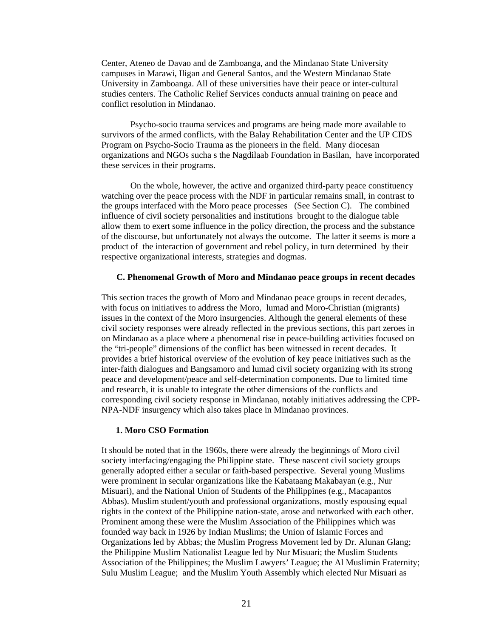Center, Ateneo de Davao and de Zamboanga, and the Mindanao State University campuses in Marawi, Iligan and General Santos, and the Western Mindanao State University in Zamboanga. All of these universities have their peace or inter-cultural studies centers. The Catholic Relief Services conducts annual training on peace and conflict resolution in Mindanao.

Psycho-socio trauma services and programs are being made more available to survivors of the armed conflicts, with the Balay Rehabilitation Center and the UP CIDS Program on Psycho-Socio Trauma as the pioneers in the field. Many diocesan organizations and NGOs sucha s the Nagdilaab Foundation in Basilan, have incorporated these services in their programs.

On the whole, however, the active and organized third-party peace constituency watching over the peace process with the NDF in particular remains small, in contrast to the groups interfaced with the Moro peace processes (See Section C). The combined influence of civil society personalities and institutions brought to the dialogue table allow them to exert some influence in the policy direction, the process and the substance of the discourse, but unfortunately not always the outcome. The latter it seems is more a product of the interaction of government and rebel policy, in turn determined by their respective organizational interests, strategies and dogmas.

#### **C. Phenomenal Growth of Moro and Mindanao peace groups in recent decades**

This section traces the growth of Moro and Mindanao peace groups in recent decades, with focus on initiatives to address the Moro, lumad and Moro-Christian (migrants) issues in the context of the Moro insurgencies. Although the general elements of these civil society responses were already reflected in the previous sections, this part zeroes in on Mindanao as a place where a phenomenal rise in peace-building activities focused on the "tri-people" dimensions of the conflict has been witnessed in recent decades. It provides a brief historical overview of the evolution of key peace initiatives such as the inter-faith dialogues and Bangsamoro and lumad civil society organizing with its strong peace and development/peace and self-determination components. Due to limited time and research, it is unable to integrate the other dimensions of the conflicts and corresponding civil society response in Mindanao, notably initiatives addressing the CPP-NPA-NDF insurgency which also takes place in Mindanao provinces.

#### **1. Moro CSO Formation**

It should be noted that in the 1960s, there were already the beginnings of Moro civil society interfacing/engaging the Philippine state. These nascent civil society groups generally adopted either a secular or faith-based perspective. Several young Muslims were prominent in secular organizations like the Kabataang Makabayan (e.g., Nur Misuari), and the National Union of Students of the Philippines (e.g., Macapantos Abbas). Muslim student/youth and professional organizations, mostly espousing equal rights in the context of the Philippine nation-state, arose and networked with each other. Prominent among these were the Muslim Association of the Philippines which was founded way back in 1926 by Indian Muslims; the Union of Islamic Forces and Organizations led by Abbas; the Muslim Progress Movement led by Dr. Alunan Glang; the Philippine Muslim Nationalist League led by Nur Misuari; the Muslim Students Association of the Philippines; the Muslim Lawyers' League; the Al Muslimin Fraternity; Sulu Muslim League; and the Muslim Youth Assembly which elected Nur Misuari as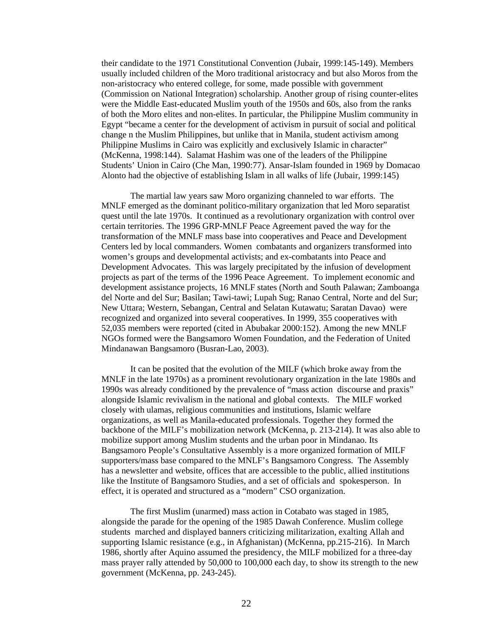their candidate to the 1971 Constitutional Convention (Jubair, 1999:145-149). Members usually included children of the Moro traditional aristocracy and but also Moros from the non-aristocracy who entered college, for some, made possible with government (Commission on National Integration) scholarship. Another group of rising counter-elites were the Middle East-educated Muslim youth of the 1950s and 60s, also from the ranks of both the Moro elites and non-elites. In particular, the Philippine Muslim community in Egypt "became a center for the development of activism in pursuit of social and political change n the Muslim Philippines, but unlike that in Manila, student activism among Philippine Muslims in Cairo was explicitly and exclusively Islamic in character" (McKenna, 1998:144). Salamat Hashim was one of the leaders of the Philippine Students' Union in Cairo (Che Man, 1990:77). Ansar-Islam founded in 1969 by Domacao Alonto had the objective of establishing Islam in all walks of life (Jubair, 1999:145)

The martial law years saw Moro organizing channeled to war efforts. The MNLF emerged as the dominant politico-military organization that led Moro separatist quest until the late 1970s. It continued as a revolutionary organization with control over certain territories. The 1996 GRP-MNLF Peace Agreement paved the way for the transformation of the MNLF mass base into cooperatives and Peace and Development Centers led by local commanders. Women combatants and organizers transformed into women's groups and developmental activists; and ex-combatants into Peace and Development Advocates. This was largely precipitated by the infusion of development projects as part of the terms of the 1996 Peace Agreement. To implement economic and development assistance projects, 16 MNLF states (North and South Palawan; Zamboanga del Norte and del Sur; Basilan; Tawi-tawi; Lupah Sug; Ranao Central, Norte and del Sur; New Uttara; Western, Sebangan, Central and Selatan Kutawatu; Saratan Davao) were recognized and organized into several cooperatives. In 1999, 355 cooperatives with 52,035 members were reported (cited in Abubakar 2000:152). Among the new MNLF NGOs formed were the Bangsamoro Women Foundation, and the Federation of United Mindanawan Bangsamoro (Busran-Lao, 2003).

It can be posited that the evolution of the MILF (which broke away from the MNLF in the late 1970s) as a prominent revolutionary organization in the late 1980s and 1990s was already conditioned by the prevalence of "mass action discourse and praxis" alongside Islamic revivalism in the national and global contexts. The MILF worked closely with ulamas, religious communities and institutions, Islamic welfare organizations, as well as Manila-educated professionals. Together they formed the backbone of the MILF's mobilization network (McKenna, p. 213-214). It was also able to mobilize support among Muslim students and the urban poor in Mindanao. Its Bangsamoro People's Consultative Assembly is a more organized formation of MILF supporters/mass base compared to the MNLF's Bangsamoro Congress. The Assembly has a newsletter and website, offices that are accessible to the public, allied institutions like the Institute of Bangsamoro Studies, and a set of officials and spokesperson. In effect, it is operated and structured as a "modern" CSO organization.

The first Muslim (unarmed) mass action in Cotabato was staged in 1985, alongside the parade for the opening of the 1985 Dawah Conference. Muslim college students marched and displayed banners criticizing militarization, exalting Allah and supporting Islamic resistance (e.g., in Afghanistan) (McKenna, pp.215-216). In March 1986, shortly after Aquino assumed the presidency, the MILF mobilized for a three-day mass prayer rally attended by 50,000 to 100,000 each day, to show its strength to the new government (McKenna, pp. 243-245).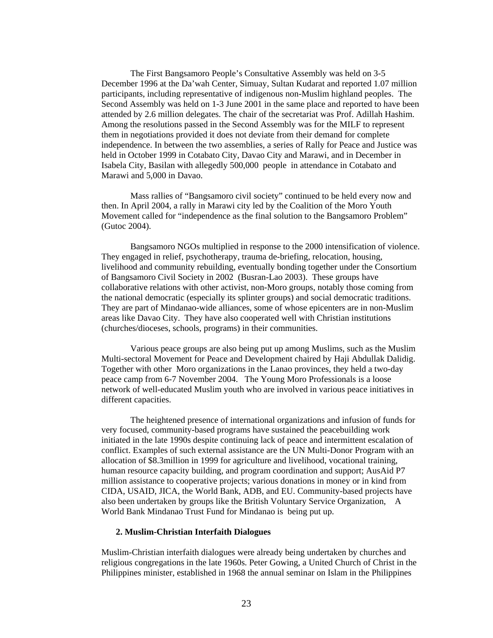The First Bangsamoro People's Consultative Assembly was held on 3-5 December 1996 at the Da'wah Center, Simuay, Sultan Kudarat and reported 1.07 million participants, including representative of indigenous non-Muslim highland peoples. The Second Assembly was held on 1-3 June 2001 in the same place and reported to have been attended by 2.6 million delegates. The chair of the secretariat was Prof. Adillah Hashim. Among the resolutions passed in the Second Assembly was for the MILF to represent them in negotiations provided it does not deviate from their demand for complete independence. In between the two assemblies, a series of Rally for Peace and Justice was held in October 1999 in Cotabato City, Davao City and Marawi, and in December in Isabela City, Basilan with allegedly 500,000 people in attendance in Cotabato and Marawi and 5,000 in Davao.

Mass rallies of "Bangsamoro civil society" continued to be held every now and then. In April 2004, a rally in Marawi city led by the Coalition of the Moro Youth Movement called for "independence as the final solution to the Bangsamoro Problem" (Gutoc 2004).

Bangsamoro NGOs multiplied in response to the 2000 intensification of violence. They engaged in relief, psychotherapy, trauma de-briefing, relocation, housing, livelihood and community rebuilding, eventually bonding together under the Consortium of Bangsamoro Civil Society in 2002 (Busran-Lao 2003). These groups have collaborative relations with other activist, non-Moro groups, notably those coming from the national democratic (especially its splinter groups) and social democratic traditions. They are part of Mindanao-wide alliances, some of whose epicenters are in non-Muslim areas like Davao City. They have also cooperated well with Christian institutions (churches/dioceses, schools, programs) in their communities.

Various peace groups are also being put up among Muslims, such as the Muslim Multi-sectoral Movement for Peace and Development chaired by Haji Abdullak Dalidig. Together with other Moro organizations in the Lanao provinces, they held a two-day peace camp from 6-7 November 2004. The Young Moro Professionals is a loose network of well-educated Muslim youth who are involved in various peace initiatives in different capacities.

The heightened presence of international organizations and infusion of funds for very focused, community-based programs have sustained the peacebuilding work initiated in the late 1990s despite continuing lack of peace and intermittent escalation of conflict. Examples of such external assistance are the UN Multi-Donor Program with an allocation of \$8.3million in 1999 for agriculture and livelihood, vocational training, human resource capacity building, and program coordination and support; AusAid P7 million assistance to cooperative projects; various donations in money or in kind from CIDA, USAID, JICA, the World Bank, ADB, and EU. Community-based projects have also been undertaken by groups like the British Voluntary Service Organization, A World Bank Mindanao Trust Fund for Mindanao is being put up.

#### **2. Muslim-Christian Interfaith Dialogues**

Muslim-Christian interfaith dialogues were already being undertaken by churches and religious congregations in the late 1960s. Peter Gowing, a United Church of Christ in the Philippines minister, established in 1968 the annual seminar on Islam in the Philippines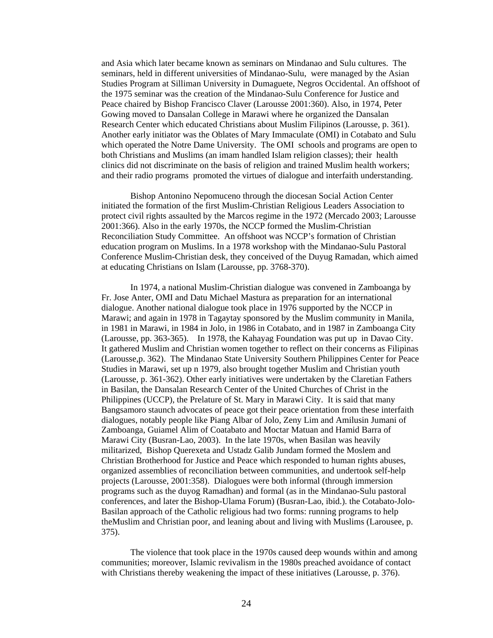and Asia which later became known as seminars on Mindanao and Sulu cultures. The seminars, held in different universities of Mindanao-Sulu, were managed by the Asian Studies Program at Silliman University in Dumaguete, Negros Occidental. An offshoot of the 1975 seminar was the creation of the Mindanao-Sulu Conference for Justice and Peace chaired by Bishop Francisco Claver (Larousse 2001:360). Also, in 1974, Peter Gowing moved to Dansalan College in Marawi where he organized the Dansalan Research Center which educated Christians about Muslim Filipinos (Larousse, p. 361). Another early initiator was the Oblates of Mary Immaculate (OMI) in Cotabato and Sulu which operated the Notre Dame University. The OMI schools and programs are open to both Christians and Muslims (an imam handled Islam religion classes); their health clinics did not discriminate on the basis of religion and trained Muslim health workers; and their radio programs promoted the virtues of dialogue and interfaith understanding.

Bishop Antonino Nepomuceno through the diocesan Social Action Center initiated the formation of the first Muslim-Christian Religious Leaders Association to protect civil rights assaulted by the Marcos regime in the 1972 (Mercado 2003; Larousse 2001:366). Also in the early 1970s, the NCCP formed the Muslim-Christian Reconciliation Study Committee. An offshoot was NCCP's formation of Christian education program on Muslims. In a 1978 workshop with the Mindanao-Sulu Pastoral Conference Muslim-Christian desk, they conceived of the Duyug Ramadan, which aimed at educating Christians on Islam (Larousse, pp. 3768-370).

 In 1974, a national Muslim-Christian dialogue was convened in Zamboanga by Fr. Jose Anter, OMI and Datu Michael Mastura as preparation for an international dialogue. Another national dialogue took place in 1976 supported by the NCCP in Marawi; and again in 1978 in Tagaytay sponsored by the Muslim community in Manila, in 1981 in Marawi, in 1984 in Jolo, in 1986 in Cotabato, and in 1987 in Zamboanga City (Larousse, pp. 363-365). In 1978, the Kahayag Foundation was put up in Davao City. It gathered Muslim and Christian women together to reflect on their concerns as Filipinas (Larousse,p. 362). The Mindanao State University Southern Philippines Center for Peace Studies in Marawi, set up n 1979, also brought together Muslim and Christian youth (Larousse, p. 361-362). Other early initiatives were undertaken by the Claretian Fathers in Basilan, the Dansalan Research Center of the United Churches of Christ in the Philippines (UCCP), the Prelature of St. Mary in Marawi City. It is said that many Bangsamoro staunch advocates of peace got their peace orientation from these interfaith dialogues, notably people like Piang Albar of Jolo, Zeny Lim and Amilusin Jumani of Zamboanga, Guiamel Alim of Coatabato and Moctar Matuan and Hamid Barra of Marawi City (Busran-Lao, 2003). In the late 1970s, when Basilan was heavily militarized, Bishop Querexeta and Ustadz Galib Jundam formed the Moslem and Christian Brotherhood for Justice and Peace which responded to human rights abuses, organized assemblies of reconciliation between communities, and undertook self-help projects (Larousse, 2001:358). Dialogues were both informal (through immersion programs such as the duyog Ramadhan) and formal (as in the Mindanao-Sulu pastoral conferences, and later the Bishop-Ulama Forum) (Busran-Lao, ibid.). the Cotabato-Jolo-Basilan approach of the Catholic religious had two forms: running programs to help theMuslim and Christian poor, and leaning about and living with Muslims (Larousee, p. 375).

 The violence that took place in the 1970s caused deep wounds within and among communities; moreover, Islamic revivalism in the 1980s preached avoidance of contact with Christians thereby weakening the impact of these initiatives (Larousse, p. 376).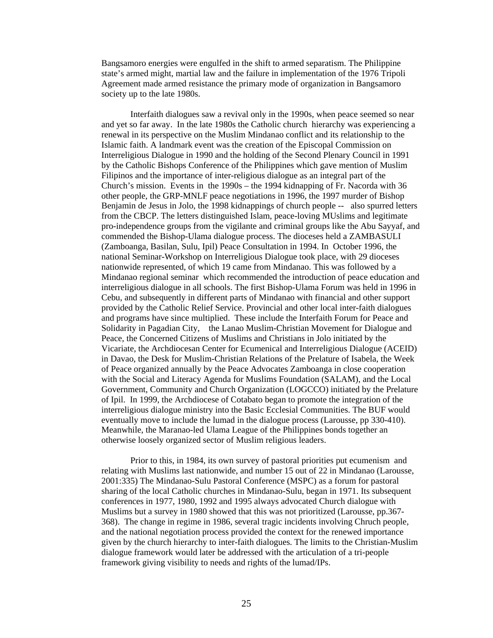Bangsamoro energies were engulfed in the shift to armed separatism. The Philippine state's armed might, martial law and the failure in implementation of the 1976 Tripoli Agreement made armed resistance the primary mode of organization in Bangsamoro society up to the late 1980s.

 Interfaith dialogues saw a revival only in the 1990s, when peace seemed so near and yet so far away. In the late 1980s the Catholic church hierarchy was experiencing a renewal in its perspective on the Muslim Mindanao conflict and its relationship to the Islamic faith. A landmark event was the creation of the Episcopal Commission on Interreligious Dialogue in 1990 and the holding of the Second Plenary Council in 1991 by the Catholic Bishops Conference of the Philippines which gave mention of Muslim Filipinos and the importance of inter-religious dialogue as an integral part of the Church's mission. Events in the 1990s – the 1994 kidnapping of Fr. Nacorda with 36 other people, the GRP-MNLF peace negotiations in 1996, the 1997 murder of Bishop Benjamin de Jesus in Jolo, the 1998 kidnappings of church people -- also spurred letters from the CBCP. The letters distinguished Islam, peace-loving MUslims and legitimate pro-independence groups from the vigilante and criminal groups like the Abu Sayyaf, and commended the Bishop-Ulama dialogue process. The dioceses held a ZAMBASULI (Zamboanga, Basilan, Sulu, Ipil) Peace Consultation in 1994. In October 1996, the national Seminar-Workshop on Interreligious Dialogue took place, with 29 dioceses nationwide represented, of which 19 came from Mindanao. This was followed by a Mindanao regional seminar which recommended the introduction of peace education and interreligious dialogue in all schools. The first Bishop-Ulama Forum was held in 1996 in Cebu, and subsequently in different parts of Mindanao with financial and other support provided by the Catholic Relief Service. Provincial and other local inter-faith dialogues and programs have since multiplied. These include the Interfaith Forum for Peace and Solidarity in Pagadian City, the Lanao Muslim-Christian Movement for Dialogue and Peace, the Concerned Citizens of Muslims and Christians in Jolo initiated by the Vicariate, the Archdiocesan Center for Ecumenical and Interreligious Dialogue (ACEID) in Davao, the Desk for Muslim-Christian Relations of the Prelature of Isabela, the Week of Peace organized annually by the Peace Advocates Zamboanga in close cooperation with the Social and Literacy Agenda for Muslims Foundation (SALAM), and the Local Government, Community and Church Organization (LOGCCO) initiated by the Prelature of Ipil. In 1999, the Archdiocese of Cotabato began to promote the integration of the interreligious dialogue ministry into the Basic Ecclesial Communities. The BUF would eventually move to include the lumad in the dialogue process (Larousse, pp 330-410). Meanwhile, the Maranao-led Ulama League of the Philippines bonds together an otherwise loosely organized sector of Muslim religious leaders.

 Prior to this, in 1984, its own survey of pastoral priorities put ecumenism and relating with Muslims last nationwide, and number 15 out of 22 in Mindanao (Larousse, 2001:335) The Mindanao-Sulu Pastoral Conference (MSPC) as a forum for pastoral sharing of the local Catholic churches in Mindanao-Sulu, began in 1971. Its subsequent conferences in 1977, 1980, 1992 and 1995 always advocated Church dialogue with Muslims but a survey in 1980 showed that this was not prioritized (Larousse, pp.367- 368). The change in regime in 1986, several tragic incidents involving Chruch people, and the national negotiation process provided the context for the renewed importance given by the church hierarchy to inter-faith dialogues. The limits to the Christian-Muslim dialogue framework would later be addressed with the articulation of a tri-people framework giving visibility to needs and rights of the lumad/IPs.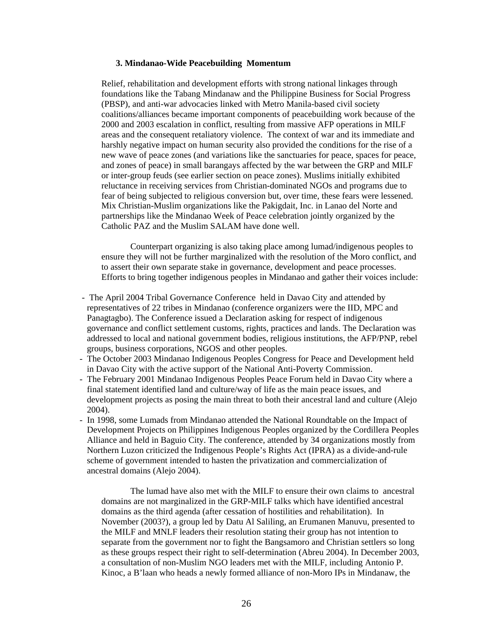#### **3. Mindanao-Wide Peacebuilding Momentum**

Relief, rehabilitation and development efforts with strong national linkages through foundations like the Tabang Mindanaw and the Philippine Business for Social Progress (PBSP), and anti-war advocacies linked with Metro Manila-based civil society coalitions/alliances became important components of peacebuilding work because of the 2000 and 2003 escalation in conflict, resulting from massive AFP operations in MILF areas and the consequent retaliatory violence. The context of war and its immediate and harshly negative impact on human security also provided the conditions for the rise of a new wave of peace zones (and variations like the sanctuaries for peace, spaces for peace, and zones of peace) in small barangays affected by the war between the GRP and MILF or inter-group feuds (see earlier section on peace zones). Muslims initially exhibited reluctance in receiving services from Christian-dominated NGOs and programs due to fear of being subjected to religious conversion but, over time, these fears were lessened. Mix Christian-Muslim organizations like the Pakigdait, Inc. in Lanao del Norte and partnerships like the Mindanao Week of Peace celebration jointly organized by the Catholic PAZ and the Muslim SALAM have done well.

Counterpart organizing is also taking place among lumad/indigenous peoples to ensure they will not be further marginalized with the resolution of the Moro conflict, and to assert their own separate stake in governance, development and peace processes. Efforts to bring together indigenous peoples in Mindanao and gather their voices include:

- The April 2004 Tribal Governance Conference held in Davao City and attended by representatives of 22 tribes in Mindanao (conference organizers were the IID, MPC and Panagtagbo). The Conference issued a Declaration asking for respect of indigenous governance and conflict settlement customs, rights, practices and lands. The Declaration was addressed to local and national government bodies, religious institutions, the AFP/PNP, rebel groups, business corporations, NGOS and other peoples.
- The October 2003 Mindanao Indigenous Peoples Congress for Peace and Development held in Davao City with the active support of the National Anti-Poverty Commission.
- The February 2001 Mindanao Indigenous Peoples Peace Forum held in Davao City where a final statement identified land and culture/way of life as the main peace issues, and development projects as posing the main threat to both their ancestral land and culture (Alejo 2004).
- In 1998, some Lumads from Mindanao attended the National Roundtable on the Impact of Development Projects on Philippines Indigenous Peoples organized by the Cordillera Peoples Alliance and held in Baguio City. The conference, attended by 34 organizations mostly from Northern Luzon criticized the Indigenous People's Rights Act (IPRA) as a divide-and-rule scheme of government intended to hasten the privatization and commercialization of ancestral domains (Alejo 2004).

The lumad have also met with the MILF to ensure their own claims to ancestral domains are not marginalized in the GRP-MILF talks which have identified ancestral domains as the third agenda (after cessation of hostilities and rehabilitation). In November (2003?), a group led by Datu Al Saliling, an Erumanen Manuvu, presented to the MILF and MNLF leaders their resolution stating their group has not intention to separate from the government nor to fight the Bangsamoro and Christian settlers so long as these groups respect their right to self-determination (Abreu 2004). In December 2003, a consultation of non-Muslim NGO leaders met with the MILF, including Antonio P. Kinoc, a B'laan who heads a newly formed alliance of non-Moro IPs in Mindanaw, the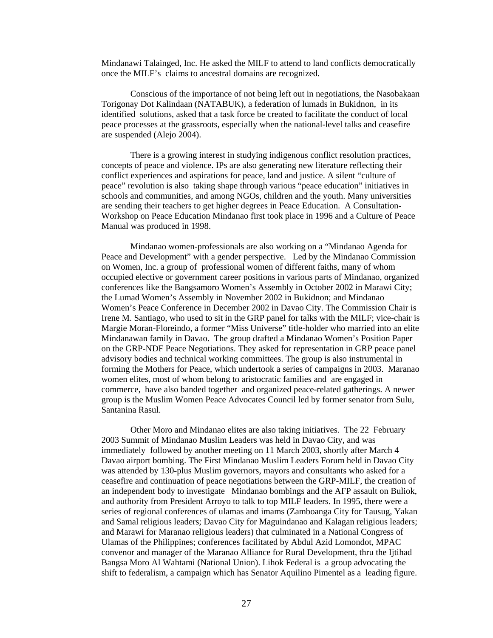Mindanawi Talainged, Inc. He asked the MILF to attend to land conflicts democratically once the MILF's claims to ancestral domains are recognized.

Conscious of the importance of not being left out in negotiations, the Nasobakaan Torigonay Dot Kalindaan (NATABUK), a federation of lumads in Bukidnon, in its identified solutions, asked that a task force be created to facilitate the conduct of local peace processes at the grassroots, especially when the national-level talks and ceasefire are suspended (Alejo 2004).

There is a growing interest in studying indigenous conflict resolution practices, concepts of peace and violence. IPs are also generating new literature reflecting their conflict experiences and aspirations for peace, land and justice. A silent "culture of peace" revolution is also taking shape through various "peace education" initiatives in schools and communities, and among NGOs, children and the youth. Many universities are sending their teachers to get higher degrees in Peace Education. A Consultation-Workshop on Peace Education Mindanao first took place in 1996 and a Culture of Peace Manual was produced in 1998.

Mindanao women-professionals are also working on a "Mindanao Agenda for Peace and Development" with a gender perspective. Led by the Mindanao Commission on Women, Inc. a group of professional women of different faiths, many of whom occupied elective or government career positions in various parts of Mindanao, organized conferences like the Bangsamoro Women's Assembly in October 2002 in Marawi City; the Lumad Women's Assembly in November 2002 in Bukidnon; and Mindanao Women's Peace Conference in December 2002 in Davao City. The Commission Chair is Irene M. Santiago, who used to sit in the GRP panel for talks with the MILF; vice-chair is Margie Moran-Floreindo, a former "Miss Universe" title-holder who married into an elite Mindanawan family in Davao. The group drafted a Mindanao Women's Position Paper on the GRP-NDF Peace Negotiations. They asked for representation in GRP peace panel advisory bodies and technical working committees. The group is also instrumental in forming the Mothers for Peace, which undertook a series of campaigns in 2003. Maranao women elites, most of whom belong to aristocratic families and are engaged in commerce, have also banded together and organized peace-related gatherings. A newer group is the Muslim Women Peace Advocates Council led by former senator from Sulu, Santanina Rasul.

Other Moro and Mindanao elites are also taking initiatives. The 22 February 2003 Summit of Mindanao Muslim Leaders was held in Davao City, and was immediately followed by another meeting on 11 March 2003, shortly after March 4 Davao airport bombing. The First Mindanao Muslim Leaders Forum held in Davao City was attended by 130-plus Muslim governors, mayors and consultants who asked for a ceasefire and continuation of peace negotiations between the GRP-MILF, the creation of an independent body to investigate Mindanao bombings and the AFP assault on Buliok, and authority from President Arroyo to talk to top MILF leaders. In 1995, there were a series of regional conferences of ulamas and imams (Zamboanga City for Tausug, Yakan and Samal religious leaders; Davao City for Maguindanao and Kalagan religious leaders; and Marawi for Maranao religious leaders) that culminated in a National Congress of Ulamas of the Philippines; conferences facilitated by Abdul Azid Lomondot, MPAC convenor and manager of the Maranao Alliance for Rural Development, thru the Ijtihad Bangsa Moro Al Wahtami (National Union). Lihok Federal is a group advocating the shift to federalism, a campaign which has Senator Aquilino Pimentel as a leading figure.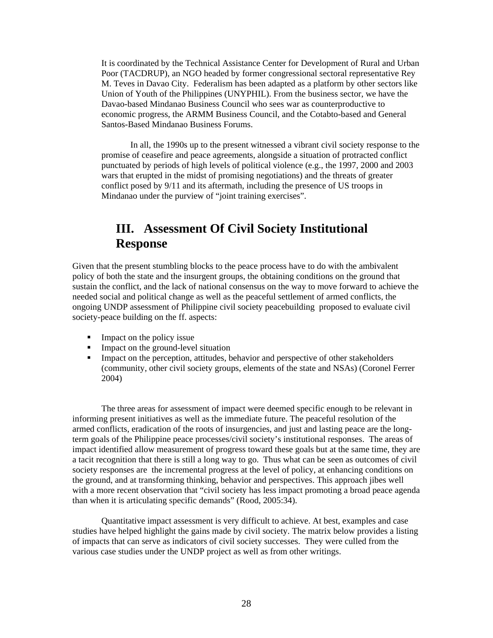It is coordinated by the Technical Assistance Center for Development of Rural and Urban Poor (TACDRUP), an NGO headed by former congressional sectoral representative Rey M. Teves in Davao City. Federalism has been adapted as a platform by other sectors like Union of Youth of the Philippines (UNYPHIL). From the business sector, we have the Davao-based Mindanao Business Council who sees war as counterproductive to economic progress, the ARMM Business Council, and the Cotabto-based and General Santos-Based Mindanao Business Forums.

In all, the 1990s up to the present witnessed a vibrant civil society response to the promise of ceasefire and peace agreements, alongside a situation of protracted conflict punctuated by periods of high levels of political violence (e.g., the 1997, 2000 and 2003 wars that erupted in the midst of promising negotiations) and the threats of greater conflict posed by 9/11 and its aftermath, including the presence of US troops in Mindanao under the purview of "joint training exercises".

# **III. Assessment Of Civil Society Institutional Response**

Given that the present stumbling blocks to the peace process have to do with the ambivalent policy of both the state and the insurgent groups, the obtaining conditions on the ground that sustain the conflict, and the lack of national consensus on the way to move forward to achieve the needed social and political change as well as the peaceful settlement of armed conflicts, the ongoing UNDP assessment of Philippine civil society peacebuilding proposed to evaluate civil society-peace building on the ff. aspects:

- $\blacksquare$  Impact on the policy issue
- Impact on the ground-level situation
- Impact on the perception, attitudes, behavior and perspective of other stakeholders (community, other civil society groups, elements of the state and NSAs) (Coronel Ferrer 2004)

The three areas for assessment of impact were deemed specific enough to be relevant in informing present initiatives as well as the immediate future. The peaceful resolution of the armed conflicts, eradication of the roots of insurgencies, and just and lasting peace are the longterm goals of the Philippine peace processes/civil society's institutional responses. The areas of impact identified allow measurement of progress toward these goals but at the same time, they are a tacit recognition that there is still a long way to go. Thus what can be seen as outcomes of civil society responses are the incremental progress at the level of policy, at enhancing conditions on the ground, and at transforming thinking, behavior and perspectives. This approach jibes well with a more recent observation that "civil society has less impact promoting a broad peace agenda than when it is articulating specific demands" (Rood, 2005:34).

Quantitative impact assessment is very difficult to achieve. At best, examples and case studies have helped highlight the gains made by civil society. The matrix below provides a listing of impacts that can serve as indicators of civil society successes. They were culled from the various case studies under the UNDP project as well as from other writings.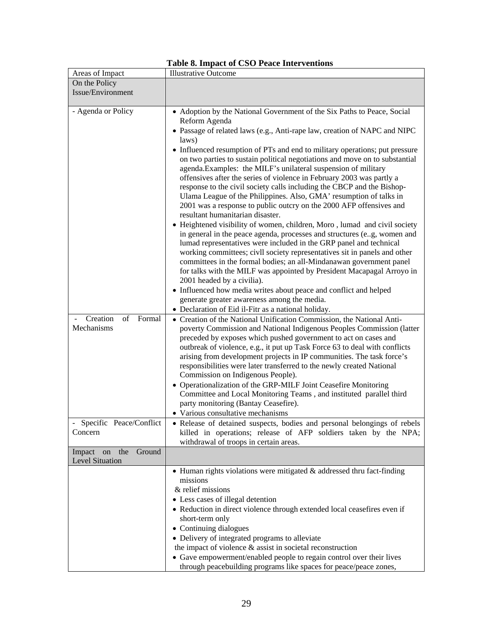| Areas of Impact                                                   | <b>Illustrative Outcome</b>                                                                                                                                                                                                                                                                                                                                                                                                                                                                                                                                                                                                                                                                                                                                                                                                                                                                                                                                                                                                                                                                                                                                                                                                                                                                                                                                      |
|-------------------------------------------------------------------|------------------------------------------------------------------------------------------------------------------------------------------------------------------------------------------------------------------------------------------------------------------------------------------------------------------------------------------------------------------------------------------------------------------------------------------------------------------------------------------------------------------------------------------------------------------------------------------------------------------------------------------------------------------------------------------------------------------------------------------------------------------------------------------------------------------------------------------------------------------------------------------------------------------------------------------------------------------------------------------------------------------------------------------------------------------------------------------------------------------------------------------------------------------------------------------------------------------------------------------------------------------------------------------------------------------------------------------------------------------|
| On the Policy                                                     |                                                                                                                                                                                                                                                                                                                                                                                                                                                                                                                                                                                                                                                                                                                                                                                                                                                                                                                                                                                                                                                                                                                                                                                                                                                                                                                                                                  |
| Issue/Environment                                                 |                                                                                                                                                                                                                                                                                                                                                                                                                                                                                                                                                                                                                                                                                                                                                                                                                                                                                                                                                                                                                                                                                                                                                                                                                                                                                                                                                                  |
|                                                                   |                                                                                                                                                                                                                                                                                                                                                                                                                                                                                                                                                                                                                                                                                                                                                                                                                                                                                                                                                                                                                                                                                                                                                                                                                                                                                                                                                                  |
| - Agenda or Policy                                                | • Adoption by the National Government of the Six Paths to Peace, Social<br>Reform Agenda<br>· Passage of related laws (e.g., Anti-rape law, creation of NAPC and NIPC<br>laws)<br>• Influenced resumption of PTs and end to military operations; put pressure<br>on two parties to sustain political negotiations and move on to substantial<br>agenda. Examples: the MILF's unilateral suspension of military<br>offensives after the series of violence in February 2003 was partly a<br>response to the civil society calls including the CBCP and the Bishop-<br>Ulama League of the Philippines. Also, GMA' resumption of talks in<br>2001 was a response to public outcry on the 2000 AFP offensives and<br>resultant humanitarian disaster.<br>• Heightened visibility of women, children, Moro, lumad and civil society<br>in general in the peace agenda, processes and structures (eg, women and<br>lumad representatives were included in the GRP panel and technical<br>working committees; civil society representatives sit in panels and other<br>committees in the formal bodies; an all-Mindanawan government panel<br>for talks with the MILF was appointed by President Macapagal Arroyo in<br>2001 headed by a civilia).<br>• Influenced how media writes about peace and conflict and helped<br>generate greater awareness among the media. |
| Creation<br>of<br>Formal<br>Mechanisms<br>Specific Peace/Conflict | • Declaration of Eid il-Fitr as a national holiday.<br>• Creation of the National Unification Commission, the National Anti-<br>poverty Commission and National Indigenous Peoples Commission (latter<br>preceded by exposes which pushed government to act on cases and<br>outbreak of violence, e.g., it put up Task Force 63 to deal with conflicts<br>arising from development projects in IP communities. The task force's<br>responsibilities were later transferred to the newly created National<br>Commission on Indigenous People).<br>• Operationalization of the GRP-MILF Joint Ceasefire Monitoring<br>Committee and Local Monitoring Teams, and instituted parallel third<br>party monitoring (Bantay Ceasefire).<br>• Various consultative mechanisms<br>• Release of detained suspects, bodies and personal belongings of rebels                                                                                                                                                                                                                                                                                                                                                                                                                                                                                                                 |
| Concern                                                           | killed in operations; release of AFP soldiers taken by the NPA;<br>withdrawal of troops in certain areas.                                                                                                                                                                                                                                                                                                                                                                                                                                                                                                                                                                                                                                                                                                                                                                                                                                                                                                                                                                                                                                                                                                                                                                                                                                                        |
| the<br>Ground<br>Impact on<br>Level Situation                     |                                                                                                                                                                                                                                                                                                                                                                                                                                                                                                                                                                                                                                                                                                                                                                                                                                                                                                                                                                                                                                                                                                                                                                                                                                                                                                                                                                  |
|                                                                   | • Human rights violations were mitigated & addressed thru fact-finding<br>missions<br>& relief missions<br>• Less cases of illegal detention<br>• Reduction in direct violence through extended local ceasefires even if<br>short-term only<br>• Continuing dialogues<br>• Delivery of integrated programs to alleviate<br>the impact of violence & assist in societal reconstruction<br>• Gave empowerment/enabled people to regain control over their lives<br>through peacebuilding programs like spaces for peace/peace zones,                                                                                                                                                                                                                                                                                                                                                                                                                                                                                                                                                                                                                                                                                                                                                                                                                               |

|  |  |  | Table 8. Impact of CSO Peace Interventions |
|--|--|--|--------------------------------------------|
|--|--|--|--------------------------------------------|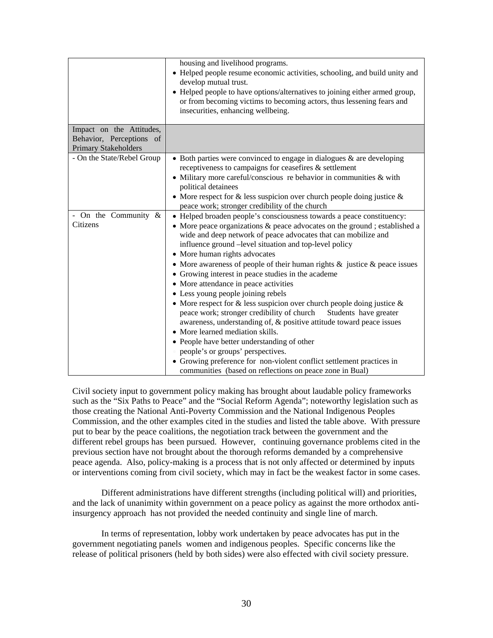|                                                                                     | housing and livelihood programs.<br>• Helped people resume economic activities, schooling, and build unity and<br>develop mutual trust.<br>• Helped people to have options/alternatives to joining either armed group,<br>or from becoming victims to becoming actors, thus lessening fears and<br>insecurities, enhancing wellbeing.                                                                                                                                                                                                                                                                                                                                                                                                                                                                                                                                                                                                                                                                                               |
|-------------------------------------------------------------------------------------|-------------------------------------------------------------------------------------------------------------------------------------------------------------------------------------------------------------------------------------------------------------------------------------------------------------------------------------------------------------------------------------------------------------------------------------------------------------------------------------------------------------------------------------------------------------------------------------------------------------------------------------------------------------------------------------------------------------------------------------------------------------------------------------------------------------------------------------------------------------------------------------------------------------------------------------------------------------------------------------------------------------------------------------|
| Impact on the Attitudes,<br>Behavior, Perceptions of<br><b>Primary Stakeholders</b> |                                                                                                                                                                                                                                                                                                                                                                                                                                                                                                                                                                                                                                                                                                                                                                                                                                                                                                                                                                                                                                     |
| - On the State/Rebel Group                                                          | $\bullet$ Both parties were convinced to engage in dialogues & are developing<br>receptiveness to campaigns for ceasefires & settlement<br>• Military more careful/conscious re behavior in communities $&$ with<br>political detainees<br>• More respect for $\&$ less suspicion over church people doing justice $\&$<br>peace work; stronger credibility of the church                                                                                                                                                                                                                                                                                                                                                                                                                                                                                                                                                                                                                                                           |
| - On the Community $\&$<br>Citizens                                                 | • Helped broaden people's consciousness towards a peace constituency:<br>• More peace organizations & peace advocates on the ground; established a<br>wide and deep network of peace advocates that can mobilize and<br>influence ground -level situation and top-level policy<br>• More human rights advocates<br>• More awareness of people of their human rights $\&$ justice $\&$ peace issues<br>• Growing interest in peace studies in the academe<br>• More attendance in peace activities<br>• Less young people joining rebels<br>• More respect for $\&$ less suspicion over church people doing justice $\&$<br>peace work; stronger credibility of church<br>Students have greater<br>awareness, understanding of, & positive attitude toward peace issues<br>• More learned mediation skills.<br>• People have better understanding of other<br>people's or groups' perspectives.<br>• Growing preference for non-violent conflict settlement practices in<br>communities (based on reflections on peace zone in Bual) |

Civil society input to government policy making has brought about laudable policy frameworks such as the "Six Paths to Peace" and the "Social Reform Agenda"; noteworthy legislation such as those creating the National Anti-Poverty Commission and the National Indigenous Peoples Commission, and the other examples cited in the studies and listed the table above. With pressure put to bear by the peace coalitions, the negotiation track between the government and the different rebel groups has been pursued. However, continuing governance problems cited in the previous section have not brought about the thorough reforms demanded by a comprehensive peace agenda. Also, policy-making is a process that is not only affected or determined by inputs or interventions coming from civil society, which may in fact be the weakest factor in some cases.

Different administrations have different strengths (including political will) and priorities, and the lack of unanimity within government on a peace policy as against the more orthodox antiinsurgency approach has not provided the needed continuity and single line of march.

In terms of representation, lobby work undertaken by peace advocates has put in the government negotiating panels women and indigenous peoples. Specific concerns like the release of political prisoners (held by both sides) were also effected with civil society pressure.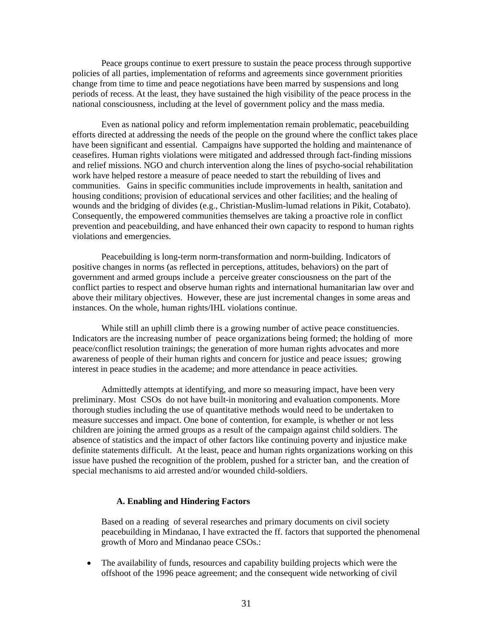Peace groups continue to exert pressure to sustain the peace process through supportive policies of all parties, implementation of reforms and agreements since government priorities change from time to time and peace negotiations have been marred by suspensions and long periods of recess. At the least, they have sustained the high visibility of the peace process in the national consciousness, including at the level of government policy and the mass media.

Even as national policy and reform implementation remain problematic, peacebuilding efforts directed at addressing the needs of the people on the ground where the conflict takes place have been significant and essential. Campaigns have supported the holding and maintenance of ceasefires. Human rights violations were mitigated and addressed through fact-finding missions and relief missions. NGO and church intervention along the lines of psycho-social rehabilitation work have helped restore a measure of peace needed to start the rebuilding of lives and communities. Gains in specific communities include improvements in health, sanitation and housing conditions; provision of educational services and other facilities; and the healing of wounds and the bridging of divides (e.g., Christian-Muslim-lumad relations in Pikit, Cotabato). Consequently, the empowered communities themselves are taking a proactive role in conflict prevention and peacebuilding, and have enhanced their own capacity to respond to human rights violations and emergencies.

Peacebuilding is long-term norm-transformation and norm-building. Indicators of positive changes in norms (as reflected in perceptions, attitudes, behaviors) on the part of government and armed groups include a perceive greater consciousness on the part of the conflict parties to respect and observe human rights and international humanitarian law over and above their military objectives. However, these are just incremental changes in some areas and instances. On the whole, human rights/IHL violations continue.

While still an uphill climb there is a growing number of active peace constituencies. Indicators are the increasing number of peace organizations being formed; the holding of more peace/conflict resolution trainings; the generation of more human rights advocates and more awareness of people of their human rights and concern for justice and peace issues; growing interest in peace studies in the academe; and more attendance in peace activities.

Admittedly attempts at identifying, and more so measuring impact, have been very preliminary. Most CSOs do not have built-in monitoring and evaluation components. More thorough studies including the use of quantitative methods would need to be undertaken to measure successes and impact. One bone of contention, for example, is whether or not less children are joining the armed groups as a result of the campaign against child soldiers. The absence of statistics and the impact of other factors like continuing poverty and injustice make definite statements difficult. At the least, peace and human rights organizations working on this issue have pushed the recognition of the problem, pushed for a stricter ban, and the creation of special mechanisms to aid arrested and/or wounded child-soldiers.

#### **A. Enabling and Hindering Factors**

Based on a reading of several researches and primary documents on civil society peacebuilding in Mindanao, I have extracted the ff. factors that supported the phenomenal growth of Moro and Mindanao peace CSOs.:

• The availability of funds, resources and capability building projects which were the offshoot of the 1996 peace agreement; and the consequent wide networking of civil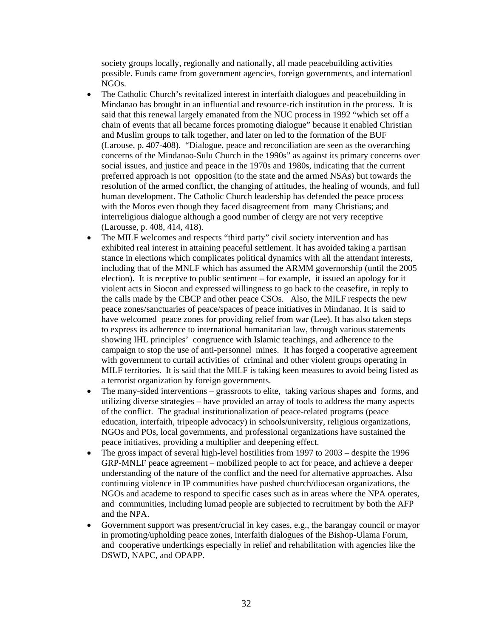society groups locally, regionally and nationally, all made peacebuilding activities possible. Funds came from government agencies, foreign governments, and internationl NGOs.

- The Catholic Church's revitalized interest in interfaith dialogues and peacebuilding in Mindanao has brought in an influential and resource-rich institution in the process. It is said that this renewal largely emanated from the NUC process in 1992 "which set off a chain of events that all became forces promoting dialogue" because it enabled Christian and Muslim groups to talk together, and later on led to the formation of the BUF (Larouse, p. 407-408). "Dialogue, peace and reconciliation are seen as the overarching concerns of the Mindanao-Sulu Church in the 1990s" as against its primary concerns over social issues, and justice and peace in the 1970s and 1980s, indicating that the current preferred approach is not opposition (to the state and the armed NSAs) but towards the resolution of the armed conflict, the changing of attitudes, the healing of wounds, and full human development. The Catholic Church leadership has defended the peace process with the Moros even though they faced disagreement from many Christians; and interreligious dialogue although a good number of clergy are not very receptive (Larousse, p. 408, 414, 418).
- The MILF welcomes and respects "third party" civil society intervention and has exhibited real interest in attaining peaceful settlement. It has avoided taking a partisan stance in elections which complicates political dynamics with all the attendant interests, including that of the MNLF which has assumed the ARMM governorship (until the 2005 election). It is receptive to public sentiment – for example, it issued an apology for it violent acts in Siocon and expressed willingness to go back to the ceasefire, in reply to the calls made by the CBCP and other peace CSOs. Also, the MILF respects the new peace zones/sanctuaries of peace/spaces of peace initiatives in Mindanao. It is said to have welcomed peace zones for providing relief from war (Lee). It has also taken steps to express its adherence to international humanitarian law, through various statements showing IHL principles' congruence with Islamic teachings, and adherence to the campaign to stop the use of anti-personnel mines. It has forged a cooperative agreement with government to curtail activities of criminal and other violent groups operating in MILF territories. It is said that the MILF is taking keen measures to avoid being listed as a terrorist organization by foreign governments.
- The many-sided interventions grassroots to elite, taking various shapes and forms, and utilizing diverse strategies – have provided an array of tools to address the many aspects of the conflict. The gradual institutionalization of peace-related programs (peace education, interfaith, tripeople advocacy) in schools/university, religious organizations, NGOs and POs, local governments, and professional organizations have sustained the peace initiatives, providing a multiplier and deepening effect.
- The gross impact of several high-level hostilities from 1997 to 2003 despite the 1996 GRP-MNLF peace agreement – mobilized people to act for peace, and achieve a deeper understanding of the nature of the conflict and the need for alternative approaches. Also continuing violence in IP communities have pushed church/diocesan organizations, the NGOs and academe to respond to specific cases such as in areas where the NPA operates, and communities, including lumad people are subjected to recruitment by both the AFP and the NPA.
- Government support was present/crucial in key cases, e.g., the barangay council or mayor in promoting/upholding peace zones, interfaith dialogues of the Bishop-Ulama Forum, and cooperative undertkings especially in relief and rehabilitation with agencies like the DSWD, NAPC, and OPAPP.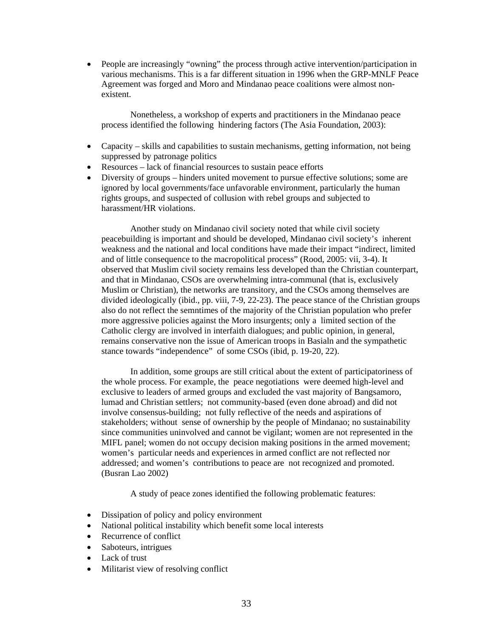• People are increasingly "owning" the process through active intervention/participation in various mechanisms. This is a far different situation in 1996 when the GRP-MNLF Peace Agreement was forged and Moro and Mindanao peace coalitions were almost nonexistent.

Nonetheless, a workshop of experts and practitioners in the Mindanao peace process identified the following hindering factors (The Asia Foundation, 2003):

- Capacity skills and capabilities to sustain mechanisms, getting information, not being suppressed by patronage politics
- Resources lack of financial resources to sustain peace efforts
- Diversity of groups hinders united movement to pursue effective solutions; some are ignored by local governments/face unfavorable environment, particularly the human rights groups, and suspected of collusion with rebel groups and subjected to harassment/HR violations.

Another study on Mindanao civil society noted that while civil society peacebuilding is important and should be developed, Mindanao civil society's inherent weakness and the national and local conditions have made their impact "indirect, limited and of little consequence to the macropolitical process" (Rood, 2005: vii, 3-4). It observed that Muslim civil society remains less developed than the Christian counterpart, and that in Mindanao, CSOs are overwhelming intra-communal (that is, exclusively Muslim or Christian), the networks are transitory, and the CSOs among themselves are divided ideologically (ibid., pp. viii, 7-9, 22-23). The peace stance of the Christian groups also do not reflect the semntimes of the majority of the Christian population who prefer more aggressive policies against the Moro insurgents; only a limited section of the Catholic clergy are involved in interfaith dialogues; and public opinion, in general, remains conservative non the issue of American troops in Basialn and the sympathetic stance towards "independence" of some CSOs (ibid, p. 19-20, 22).

In addition, some groups are still critical about the extent of participatoriness of the whole process. For example, the peace negotiations were deemed high-level and exclusive to leaders of armed groups and excluded the vast majority of Bangsamoro, lumad and Christian settlers; not community-based (even done abroad) and did not involve consensus-building; not fully reflective of the needs and aspirations of stakeholders; without sense of ownership by the people of Mindanao; no sustainability since communities uninvolved and cannot be vigilant; women are not represented in the MIFL panel; women do not occupy decision making positions in the armed movement; women's particular needs and experiences in armed conflict are not reflected nor addressed; and women's contributions to peace are not recognized and promoted. (Busran Lao 2002)

A study of peace zones identified the following problematic features:

- Dissipation of policy and policy environment
- National political instability which benefit some local interests
- Recurrence of conflict
- Saboteurs, intrigues
- Lack of trust
- Militarist view of resolving conflict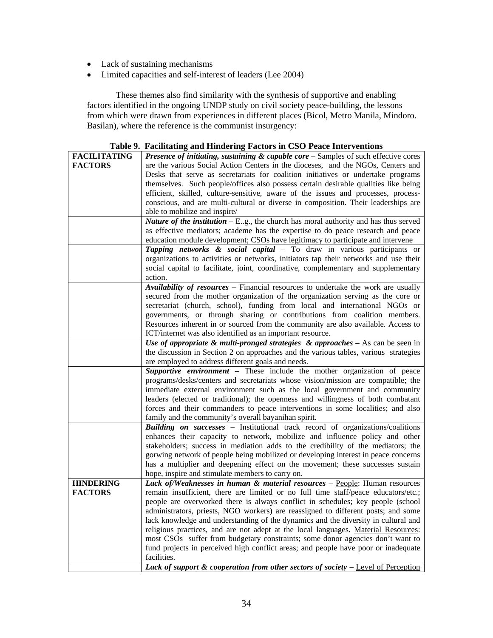- Lack of sustaining mechanisms
- Limited capacities and self-interest of leaders (Lee 2004)

These themes also find similarity with the synthesis of supportive and enabling factors identified in the ongoing UNDP study on civil society peace-building, the lessons from which were drawn from experiences in different places (Bicol, Metro Manila, Mindoro. Basilan), where the reference is the communist insurgency:

|                     | Table 9. Facultating and Hindering Factors in CSO Peace Interventions                                                                  |
|---------------------|----------------------------------------------------------------------------------------------------------------------------------------|
| <b>FACILITATING</b> | <b>Presence of initiating, sustaining &amp; capable core</b> $-$ Samples of such effective cores                                       |
| <b>FACTORS</b>      | are the various Social Action Centers in the dioceses, and the NGOs, Centers and                                                       |
|                     | Desks that serve as secretariats for coalition initiatives or undertake programs                                                       |
|                     | themselves. Such people/offices also possess certain desirable qualities like being                                                    |
|                     | efficient, skilled, culture-sensitive, aware of the issues and processes, process-                                                     |
|                     | conscious, and are multi-cultural or diverse in composition. Their leaderships are                                                     |
|                     |                                                                                                                                        |
|                     | able to mobilize and inspire/                                                                                                          |
|                     | <i>Nature of the institution</i> $- E_{.g}$ , the church has moral authority and has thus served                                       |
|                     | as effective mediators; academe has the expertise to do peace research and peace                                                       |
|                     | education module development; CSOs have legitimacy to participate and intervene                                                        |
|                     | Tapping networks & social capital - To draw in various participants or                                                                 |
|                     | organizations to activities or networks, initiators tap their networks and use their                                                   |
|                     | social capital to facilitate, joint, coordinative, complementary and supplementary                                                     |
|                     | action.                                                                                                                                |
|                     | Availability of resources - Financial resources to undertake the work are usually                                                      |
|                     | secured from the mother organization of the organization serving as the core or                                                        |
|                     | secretariat (church, school), funding from local and international NGOs or                                                             |
|                     | governments, or through sharing or contributions from coalition members.                                                               |
|                     | Resources inherent in or sourced from the community are also available. Access to                                                      |
|                     | ICT/internet was also identified as an important resource.                                                                             |
|                     | Use of appropriate & multi-pronged strategies & approaches $-$ As can be seen in                                                       |
|                     | the discussion in Section 2 on approaches and the various tables, various strategies                                                   |
|                     | are employed to address different goals and needs.                                                                                     |
|                     | Supportive environment - These include the mother organization of peace                                                                |
|                     | programs/desks/centers and secretariats whose vision/mission are compatible; the                                                       |
|                     | immediate external environment such as the local government and community                                                              |
|                     | leaders (elected or traditional); the openness and willingness of both combatant                                                       |
|                     | forces and their commanders to peace interventions in some localities; and also                                                        |
|                     |                                                                                                                                        |
|                     | family and the community's overall bayanihan spirit.<br>Building on successes - Institutional track record of organizations/coalitions |
|                     |                                                                                                                                        |
|                     | enhances their capacity to network, mobilize and influence policy and other                                                            |
|                     | stakeholders; success in mediation adds to the credibility of the mediators; the                                                       |
|                     | gorwing network of people being mobilized or developing interest in peace concerns                                                     |
|                     | has a multiplier and deepening effect on the movement; these successes sustain                                                         |
|                     | hope, inspire and stimulate members to carry on.                                                                                       |
| <b>HINDERING</b>    | Lack of/Weaknesses in human & material resources - People: Human resources                                                             |
| <b>FACTORS</b>      | remain insufficient, there are limited or no full time staff/peace educators/etc.;                                                     |
|                     | people are overworked there is always conflict in schedules; key people (school                                                        |
|                     | administrators, priests, NGO workers) are reassigned to different posts; and some                                                      |
|                     | lack knowledge and understanding of the dynamics and the diversity in cultural and                                                     |
|                     | religious practices, and are not adept at the local languages. Material Resources:                                                     |
|                     | most CSOs suffer from budgetary constraints; some donor agencies don't want to                                                         |
|                     | fund projects in perceived high conflict areas; and people have poor or inadequate                                                     |
|                     | facilities.                                                                                                                            |
|                     | Lack of support & cooperation from other sectors of society $-$ Level of Perception                                                    |

### **Table 9. Facilitating and Hindering Factors in CSO Peace Interventions**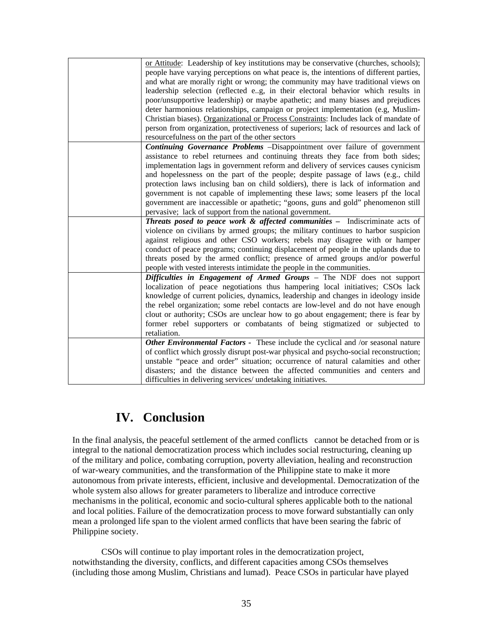| or Attitude: Leadership of key institutions may be conservative (churches, schools);<br>people have varying perceptions on what peace is, the intentions of different parties,<br>and what are morally right or wrong; the community may have traditional views on<br>leadership selection (reflected e.g, in their electoral behavior which results in<br>poor/unsupportive leadership) or maybe apathetic; and many biases and prejudices<br>deter harmonious relationships, campaign or project implementation (e.g, Muslim-<br>Christian biases). Organizational or Process Constraints: Includes lack of mandate of<br>person from organization, protectiveness of superiors; lack of resources and lack of<br>resourcefulness on the part of the other sectors |
|----------------------------------------------------------------------------------------------------------------------------------------------------------------------------------------------------------------------------------------------------------------------------------------------------------------------------------------------------------------------------------------------------------------------------------------------------------------------------------------------------------------------------------------------------------------------------------------------------------------------------------------------------------------------------------------------------------------------------------------------------------------------|
| Continuing Governance Problems -Disappointment over failure of government<br>assistance to rebel returnees and continuing threats they face from both sides;<br>implementation lags in government reform and delivery of services causes cynicism<br>and hopelessness on the part of the people; despite passage of laws (e.g., child<br>protection laws inclusing ban on child soldiers), there is lack of information and<br>government is not capable of implementing these laws; some leasers pf the local<br>government are inaccessible or apathetic; "goons, guns and gold" phenomenon still<br>pervasive; lack of support from the national government.                                                                                                      |
| <b>Threats posed to peace work &amp; affected communities -</b> Indiscriminate acts of<br>violence on civilians by armed groups; the military continues to harbor suspicion<br>against religious and other CSO workers; rebels may disagree with or hamper<br>conduct of peace programs; continuing displacement of people in the uplands due to<br>threats posed by the armed conflict; presence of armed groups and/or powerful<br>people with vested interests intimidate the people in the communities.                                                                                                                                                                                                                                                          |
| Difficulties in Engagement of Armed Groups - The NDF does not support<br>localization of peace negotiations thus hampering local initiatives; CSOs lack<br>knowledge of current policies, dynamics, leadership and changes in ideology inside<br>the rebel organization; some rebel contacts are low-level and do not have enough<br>clout or authority; CSOs are unclear how to go about engagement; there is fear by<br>former rebel supporters or combatants of being stigmatized or subjected to<br>retaliation.                                                                                                                                                                                                                                                 |
| Other Environmental Factors - These include the cyclical and /or seasonal nature<br>of conflict which grossly disrupt post-war physical and psycho-social reconstruction;<br>unstable "peace and order" situation; occurrence of natural calamities and other<br>disasters; and the distance between the affected communities and centers and<br>difficulties in delivering services/ undetaking initiatives.                                                                                                                                                                                                                                                                                                                                                        |

# **IV. Conclusion**

In the final analysis, the peaceful settlement of the armed conflicts cannot be detached from or is integral to the national democratization process which includes social restructuring, cleaning up of the military and police, combating corruption, poverty alleviation, healing and reconstruction of war-weary communities, and the transformation of the Philippine state to make it more autonomous from private interests, efficient, inclusive and developmental. Democratization of the whole system also allows for greater parameters to liberalize and introduce corrective mechanisms in the political, economic and socio-cultural spheres applicable both to the national and local polities. Failure of the democratization process to move forward substantially can only mean a prolonged life span to the violent armed conflicts that have been searing the fabric of Philippine society.

CSOs will continue to play important roles in the democratization project, notwithstanding the diversity, conflicts, and different capacities among CSOs themselves (including those among Muslim, Christians and lumad). Peace CSOs in particular have played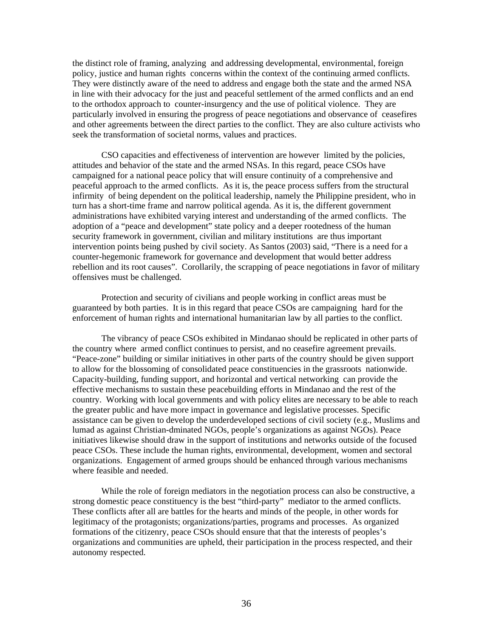the distinct role of framing, analyzing and addressing developmental, environmental, foreign policy, justice and human rights concerns within the context of the continuing armed conflicts. They were distinctly aware of the need to address and engage both the state and the armed NSA in line with their advocacy for the just and peaceful settlement of the armed conflicts and an end to the orthodox approach to counter-insurgency and the use of political violence. They are particularly involved in ensuring the progress of peace negotiations and observance of ceasefires and other agreements between the direct parties to the conflict. They are also culture activists who seek the transformation of societal norms, values and practices.

CSO capacities and effectiveness of intervention are however limited by the policies, attitudes and behavior of the state and the armed NSAs. In this regard, peace CSOs have campaigned for a national peace policy that will ensure continuity of a comprehensive and peaceful approach to the armed conflicts. As it is, the peace process suffers from the structural infirmity of being dependent on the political leadership, namely the Philippine president, who in turn has a short-time frame and narrow political agenda. As it is, the different government administrations have exhibited varying interest and understanding of the armed conflicts. The adoption of a "peace and development" state policy and a deeper rootedness of the human security framework in government, civilian and military institutions are thus important intervention points being pushed by civil society. As Santos (2003) said, "There is a need for a counter-hegemonic framework for governance and development that would better address rebellion and its root causes". Corollarily, the scrapping of peace negotiations in favor of military offensives must be challenged.

Protection and security of civilians and people working in conflict areas must be guaranteed by both parties. It is in this regard that peace CSOs are campaigning hard for the enforcement of human rights and international humanitarian law by all parties to the conflict.

The vibrancy of peace CSOs exhibited in Mindanao should be replicated in other parts of the country where armed conflict continues to persist, and no ceasefire agreement prevails. "Peace-zone" building or similar initiatives in other parts of the country should be given support to allow for the blossoming of consolidated peace constituencies in the grassroots nationwide. Capacity-building, funding support, and horizontal and vertical networking can provide the effective mechanisms to sustain these peacebuilding efforts in Mindanao and the rest of the country. Working with local governments and with policy elites are necessary to be able to reach the greater public and have more impact in governance and legislative processes. Specific assistance can be given to develop the underdeveloped sections of civil society (e.g., Muslims and lumad as against Christian-dminated NGOs, people's organizations as against NGOs). Peace initiatives likewise should draw in the support of institutions and networks outside of the focused peace CSOs. These include the human rights, environmental, development, women and sectoral organizations. Engagement of armed groups should be enhanced through various mechanisms where feasible and needed.

While the role of foreign mediators in the negotiation process can also be constructive, a strong domestic peace constituency is the best "third-party" mediator to the armed conflicts. These conflicts after all are battles for the hearts and minds of the people, in other words for legitimacy of the protagonists; organizations/parties, programs and processes. As organized formations of the citizenry, peace CSOs should ensure that that the interests of peoples's organizations and communities are upheld, their participation in the process respected, and their autonomy respected.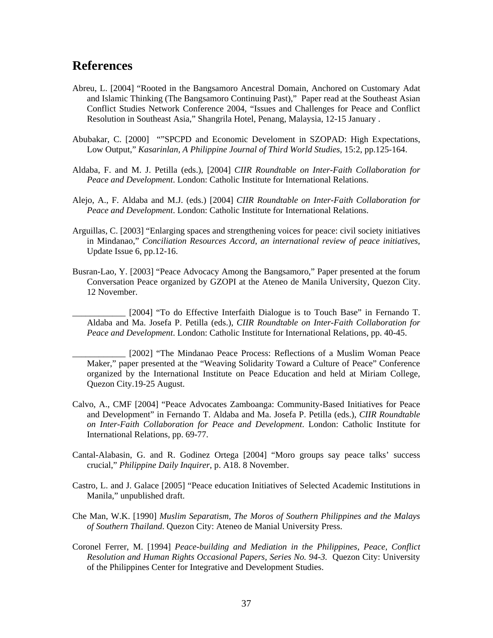## **References**

- Abreu, L. [2004] "Rooted in the Bangsamoro Ancestral Domain, Anchored on Customary Adat and Islamic Thinking (The Bangsamoro Continuing Past)," Paper read at the Southeast Asian Conflict Studies Network Conference 2004, "Issues and Challenges for Peace and Conflict Resolution in Southeast Asia," Shangrila Hotel, Penang, Malaysia, 12-15 January .
- Abubakar, C. [2000] ""SPCPD and Economic Develoment in SZOPAD: High Expectations, Low Output," *Kasarinlan, A Philippine Journal of Third World Studies,* 15:2, pp.125-164.
- Aldaba, F. and M. J. Petilla (eds.), [2004] *CIIR Roundtable on Inter-Faith Collaboration for Peace and Development*. London: Catholic Institute for International Relations.
- Alejo, A., F. Aldaba and M.J. (eds.) [2004] *CIIR Roundtable on Inter-Faith Collaboration for Peace and Development*. London: Catholic Institute for International Relations.
- Arguillas, C. [2003] "Enlarging spaces and strengthening voices for peace: civil society initiatives in Mindanao," *Conciliation Resources Accord, an international review of peace initiatives,* Update Issue 6, pp.12-16.
- Busran-Lao, Y. [2003] "Peace Advocacy Among the Bangsamoro," Paper presented at the forum Conversation Peace organized by GZOPI at the Ateneo de Manila University, Quezon City. 12 November.
	- [2004] "To do Effective Interfaith Dialogue is to Touch Base" in Fernando T. Aldaba and Ma. Josefa P. Petilla (eds.), *CIIR Roundtable on Inter-Faith Collaboration for Peace and Development*. London: Catholic Institute for International Relations, pp. 40-45.

[2002] "The Mindanao Peace Process: Reflections of a Muslim Woman Peace Maker," paper presented at the "Weaving Solidarity Toward a Culture of Peace" Conference organized by the International Institute on Peace Education and held at Miriam College, Quezon City.19-25 August.

- Calvo, A., CMF [2004] "Peace Advocates Zamboanga: Community-Based Initiatives for Peace and Development" in Fernando T. Aldaba and Ma. Josefa P. Petilla (eds.), *CIIR Roundtable on Inter-Faith Collaboration for Peace and Development*. London: Catholic Institute for International Relations, pp. 69-77.
- Cantal-Alabasin, G. and R. Godinez Ortega [2004] "Moro groups say peace talks' success crucial," *Philippine Daily Inquirer*, p. A18. 8 November.
- Castro, L. and J. Galace [2005] "Peace education Initiatives of Selected Academic Institutions in Manila," unpublished draft.
- Che Man, W.K. [1990] *Muslim Separatism, The Moros of Southern Philippines and the Malays of Southern Thailand*. Quezon City: Ateneo de Manial University Press.
- Coronel Ferrer, M. [1994] *Peace-building and Mediation in the Philippines, Peace, Conflict Resolution and Human Rights Occasional Papers, Series No. 94-3.* Quezon City: University of the Philippines Center for Integrative and Development Studies.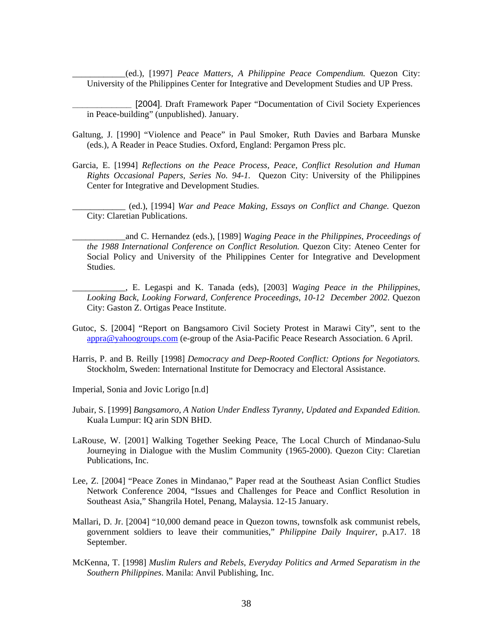\_\_\_\_\_\_\_\_\_\_\_\_(ed.), [1997] *Peace Matters, A Philippine Peace Compendium.* Quezon City: University of the Philippines Center for Integrative and Development Studies and UP Press.

[2004]. Draft Framework Paper "Documentation of Civil Society Experiences in Peace-building" (unpublished). January.

- Galtung, J. [1990] "Violence and Peace" in Paul Smoker, Ruth Davies and Barbara Munske (eds.), A Reader in Peace Studies. Oxford, England: Pergamon Press plc.
- Garcia, E. [1994] *Reflections on the Peace Process, Peace, Conflict Resolution and Human Rights Occasional Papers, Series No. 94-1.* Quezon City: University of the Philippines Center for Integrative and Development Studies.
	- \_\_\_\_\_\_\_\_\_\_\_\_ (ed.), [1994] *War and Peace Making, Essays on Conflict and Change.* Quezon City: Claretian Publications.
	- \_\_\_\_\_\_\_\_\_\_\_\_and C. Hernandez (eds.), [1989] *Waging Peace in the Philippines, Proceedings of the 1988 International Conference on Conflict Resolution.* Quezon City: Ateneo Center for Social Policy and University of the Philippines Center for Integrative and Development Studies.
	- \_\_\_\_\_\_\_\_\_\_\_\_, E. Legaspi and K. Tanada (eds), [2003] *Waging Peace in the Philippines, Looking Back, Looking Forward, Conference Proceedings, 10-12 December 2002*. Quezon City: Gaston Z. Ortigas Peace Institute.
- Gutoc, S. [2004] "Report on Bangsamoro Civil Society Protest in Marawi City", sent to the appra@yahoogroups.com (e-group of the Asia-Pacific Peace Research Association. 6 April.
- Harris, P. and B. Reilly [1998] *Democracy and Deep-Rooted Conflict: Options for Negotiators.* Stockholm, Sweden: International Institute for Democracy and Electoral Assistance.
- Imperial, Sonia and Jovic Lorigo [n.d]
- Jubair, S. [1999] *Bangsamoro, A Nation Under Endless Tyranny, Updated and Expanded Edition.* Kuala Lumpur: IQ arin SDN BHD.
- LaRouse, W. [2001] Walking Together Seeking Peace, The Local Church of Mindanao-Sulu Journeying in Dialogue with the Muslim Community (1965-2000). Quezon City: Claretian Publications, Inc.
- Lee, Z. [2004] "Peace Zones in Mindanao," Paper read at the Southeast Asian Conflict Studies Network Conference 2004, "Issues and Challenges for Peace and Conflict Resolution in Southeast Asia," Shangrila Hotel, Penang, Malaysia. 12-15 January.
- Mallari, D. Jr. [2004] "10,000 demand peace in Quezon towns, townsfolk ask communist rebels, government soldiers to leave their communities," *Philippine Daily Inquirer*, p.A17. 18 September.
- McKenna, T. [1998] *Muslim Rulers and Rebels, Everyday Politics and Armed Separatism in the Southern Philippines*. Manila: Anvil Publishing, Inc.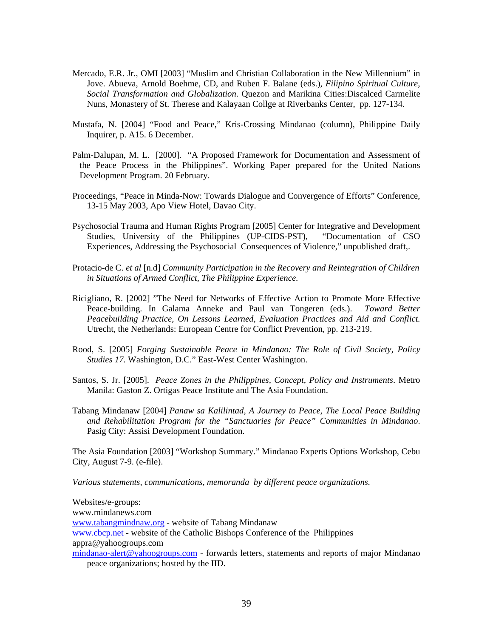- Mercado, E.R. Jr., OMI [2003] "Muslim and Christian Collaboration in the New Millennium" in Jove. Abueva, Arnold Boehme, CD, and Ruben F. Balane (eds.), *Filipino Spiritual Culture, Social Transformation and Globalization*. Quezon and Marikina Cities:Discalced Carmelite Nuns, Monastery of St. Therese and Kalayaan Collge at Riverbanks Center, pp. 127-134.
- Mustafa, N. [2004] "Food and Peace," Kris-Crossing Mindanao (column), Philippine Daily Inquirer, p. A15. 6 December.
- Palm-Dalupan, M. L. [2000]. "A Proposed Framework for Documentation and Assessment of the Peace Process in the Philippines". Working Paper prepared for the United Nations Development Program. 20 February.
- Proceedings, "Peace in Minda-Now: Towards Dialogue and Convergence of Efforts" Conference, 13-15 May 2003, Apo View Hotel, Davao City.
- Psychosocial Trauma and Human Rights Program [2005] Center for Integrative and Development Studies, University of the Philippines (UP-CIDS-PST), "Documentation of CSO Experiences, Addressing the Psychosocial Consequences of Violence," unpublished draft,.
- Protacio-de C. *et al* [n.d] *Community Participation in the Recovery and Reintegration of Children in Situations of Armed Conflict, The Philippine Experience*.
- Ricigliano, R. [2002] "The Need for Networks of Effective Action to Promote More Effective Peace-building. In Galama Anneke and Paul van Tongeren (eds.). *Toward Better Peacebuilding Practice, On Lessons Learned, Evaluation Practices and Aid and Conflict.* Utrecht, the Netherlands: European Centre for Conflict Prevention, pp. 213-219.
- Rood, S. [2005] *Forging Sustainable Peace in Mindanao: The Role of Civil Society, Policy Studies 17.* Washington, D.C." East-West Center Washington.
- Santos, S. Jr. [2005]. *Peace Zones in the Philippines, Concept, Policy and Instruments*. Metro Manila: Gaston Z. Ortigas Peace Institute and The Asia Foundation.
- Tabang Mindanaw [2004] *Panaw sa Kalilintad, A Journey to Peace, The Local Peace Building and Rehabilitation Program for the "Sanctuaries for Peace" Communities in Mindanao*. Pasig City: Assisi Development Foundation.

The Asia Foundation [2003] "Workshop Summary." Mindanao Experts Options Workshop, Cebu City, August 7-9. (e-file).

*Various statements, communications, memoranda by different peace organizations.* 

Websites/e-groups: www.mindanews.com www.tabangmindnaw.org - website of Tabang Mindanaw www.cbcp.net - website of the Catholic Bishops Conference of the Philippines appra@yahoogroups.com mindanao-alert@yahoogroups.com - forwards letters, statements and reports of major Mindanao peace organizations; hosted by the IID.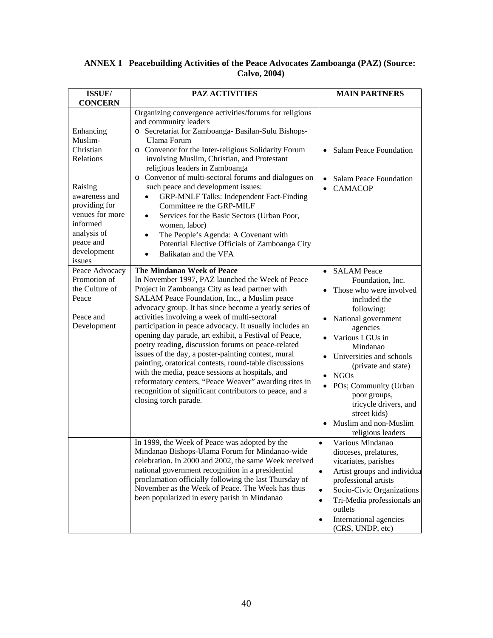### **ANNEX 1 Peacebuilding Activities of the Peace Advocates Zamboanga (PAZ) (Source: Calvo, 2004)**

| ISSUE/                                                                                                                                                                                  | <b>PAZ ACTIVITIES</b>                                                                                                                                                                                                                                                                                                                                                                                                                                                                                                                                                                                                                                                                                                                                                                          | <b>MAIN PARTNERS</b>                                                                                                                                                                                                                                                                                                                                                                          |
|-----------------------------------------------------------------------------------------------------------------------------------------------------------------------------------------|------------------------------------------------------------------------------------------------------------------------------------------------------------------------------------------------------------------------------------------------------------------------------------------------------------------------------------------------------------------------------------------------------------------------------------------------------------------------------------------------------------------------------------------------------------------------------------------------------------------------------------------------------------------------------------------------------------------------------------------------------------------------------------------------|-----------------------------------------------------------------------------------------------------------------------------------------------------------------------------------------------------------------------------------------------------------------------------------------------------------------------------------------------------------------------------------------------|
| <b>CONCERN</b><br>Enhancing<br>Muslim-<br>Christian<br>Relations<br>Raising<br>awareness and<br>providing for<br>venues for more<br>informed<br>analysis of<br>peace and<br>development | Organizing convergence activities/forums for religious<br>and community leaders<br>o Secretariat for Zamboanga- Basilan-Sulu Bishops-<br>Ulama Forum<br>o Convenor for the Inter-religious Solidarity Forum<br>involving Muslim, Christian, and Protestant<br>religious leaders in Zamboanga<br>o Convenor of multi-sectoral forums and dialogues on<br>such peace and development issues:<br><b>GRP-MNLF Talks: Independent Fact-Finding</b><br>Committee re the GRP-MILF<br>Services for the Basic Sectors (Urban Poor,<br>$\bullet$<br>women, labor)<br>The People's Agenda: A Covenant with<br>$\bullet$<br>Potential Elective Officials of Zamboanga City<br>Balikatan and the VFA<br>$\bullet$                                                                                           | <b>Salam Peace Foundation</b><br><b>Salam Peace Foundation</b><br><b>CAMACOP</b>                                                                                                                                                                                                                                                                                                              |
| issues<br>Peace Advocacy<br>Promotion of<br>the Culture of<br>Peace<br>Peace and<br>Development                                                                                         | <b>The Mindanao Week of Peace</b><br>In November 1997, PAZ launched the Week of Peace<br>Project in Zamboanga City as lead partner with<br>SALAM Peace Foundation, Inc., a Muslim peace<br>advocacy group. It has since become a yearly series of<br>activities involving a week of multi-sectoral<br>participation in peace advocacy. It usually includes an<br>opening day parade, art exhibit, a Festival of Peace,<br>poetry reading, discussion forums on peace-related<br>issues of the day, a poster-painting contest, mural<br>painting, oratorical contests, round-table discussions<br>with the media, peace sessions at hospitals, and<br>reformatory centers, "Peace Weaver" awarding rites in<br>recognition of significant contributors to peace, and a<br>closing torch parade. | <b>SALAM</b> Peace<br>$\bullet$<br>Foundation, Inc.<br>Those who were involved<br>included the<br>following:<br>National government<br>agencies<br>Various LGUs in<br>Mindanao<br>Universities and schools<br>(private and state)<br><b>NGOs</b><br>$\bullet$<br>POs; Community (Urban<br>poor groups,<br>tricycle drivers, and<br>street kids)<br>Muslim and non-Muslim<br>religious leaders |
|                                                                                                                                                                                         | In 1999, the Week of Peace was adopted by the<br>Mindanao Bishops-Ulama Forum for Mindanao-wide<br>celebration. In 2000 and 2002, the same Week received<br>national government recognition in a presidential<br>proclamation officially following the last Thursday of<br>November as the Week of Peace. The Week has thus<br>been popularized in every parish in Mindanao                                                                                                                                                                                                                                                                                                                                                                                                                    | Various Mindanao<br>dioceses, prelatures,<br>vicariates, parishes<br>Artist groups and individua<br>professional artists<br>Socio-Civic Organizations<br>Tri-Media professionals and<br>outlets<br>International agencies<br>(CRS, UNDP, etc)                                                                                                                                                 |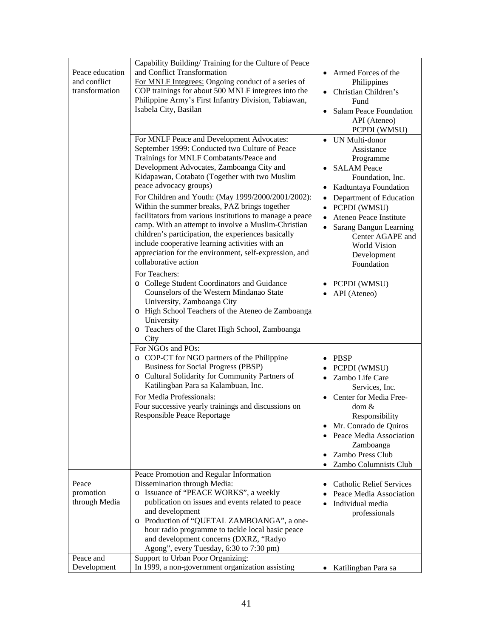| Peace education<br>and conflict<br>transformation | Capability Building/Training for the Culture of Peace<br>and Conflict Transformation<br>For MNLF Integrees: Ongoing conduct of a series of<br>COP trainings for about 500 MNLF integrees into the<br>Philippine Army's First Infantry Division, Tabiawan,<br>Isabela City, Basilan                                                                                                                                                                                                                                                                                                                                                                                                   | Armed Forces of the<br>Philippines<br>Christian Children's<br>Fund<br>Salam Peace Foundation<br>API (Ateneo)<br>PCPDI (WMSU)                                                                                                                                                     |
|---------------------------------------------------|--------------------------------------------------------------------------------------------------------------------------------------------------------------------------------------------------------------------------------------------------------------------------------------------------------------------------------------------------------------------------------------------------------------------------------------------------------------------------------------------------------------------------------------------------------------------------------------------------------------------------------------------------------------------------------------|----------------------------------------------------------------------------------------------------------------------------------------------------------------------------------------------------------------------------------------------------------------------------------|
|                                                   | For MNLF Peace and Development Advocates:<br>September 1999: Conducted two Culture of Peace<br>Trainings for MNLF Combatants/Peace and<br>Development Advocates, Zamboanga City and<br>Kidapawan, Cotabato (Together with two Muslim<br>peace advocacy groups)<br>For Children and Youth: (May 1999/2000/2001/2002):<br>Within the summer breaks, PAZ brings together<br>facilitators from various institutions to manage a peace<br>camp. With an attempt to involve a Muslim-Christian<br>children's participation, the experiences basically<br>include cooperative learning activities with an<br>appreciation for the environment, self-expression, and<br>collaborative action | UN Multi-donor<br>Assistance<br>Programme<br><b>SALAM Peace</b><br>Foundation, Inc.<br>Kadtuntaya Foundation<br>• Department of Education<br>• PCPDI (WMSU)<br>Ateneo Peace Institute<br>Sarang Bangun Learning<br>Center AGAPE and<br>World Vision<br>Development<br>Foundation |
|                                                   | For Teachers:<br>o College Student Coordinators and Guidance<br>Counselors of the Western Mindanao State<br>University, Zamboanga City<br>o High School Teachers of the Ateneo de Zamboanga<br>University<br>o Teachers of the Claret High School, Zamboanga<br>City<br>For NGOs and POs:                                                                                                                                                                                                                                                                                                                                                                                            | PCPDI (WMSU)<br>• API (Ateneo)                                                                                                                                                                                                                                                   |
|                                                   | o COP-CT for NGO partners of the Philippine<br>Business for Social Progress (PBSP)<br>o Cultural Solidarity for Community Partners of<br>Katilingban Para sa Kalambuan, Inc.<br>For Media Professionals:<br>Four successive yearly trainings and discussions on<br>Responsible Peace Reportage                                                                                                                                                                                                                                                                                                                                                                                       | PBSP<br>PCPDI (WMSU)<br>Zambo Life Care<br>Services, Inc.<br>Center for Media Free-<br>dom &<br>Responsibility<br>Mr. Conrado de Quiros<br>Peace Media Association<br>Zamboanga<br>Zambo Press Club                                                                              |
| Peace<br>promotion<br>through Media               | Peace Promotion and Regular Information<br>Dissemination through Media:<br>o Issuance of "PEACE WORKS", a weekly<br>publication on issues and events related to peace                                                                                                                                                                                                                                                                                                                                                                                                                                                                                                                | Zambo Columnists Club<br><b>Catholic Relief Services</b><br>Peace Media Association<br>Individual media                                                                                                                                                                          |
| Peace and                                         | and development<br>o Production of "QUETAL ZAMBOANGA", a one-<br>hour radio programme to tackle local basic peace<br>and development concerns (DXRZ, "Radyo<br>Agong", every Tuesday, 6:30 to 7:30 pm)<br>Support to Urban Poor Organizing:                                                                                                                                                                                                                                                                                                                                                                                                                                          | professionals                                                                                                                                                                                                                                                                    |
| Development                                       | In 1999, a non-government organization assisting                                                                                                                                                                                                                                                                                                                                                                                                                                                                                                                                                                                                                                     | • Katilingban Para sa                                                                                                                                                                                                                                                            |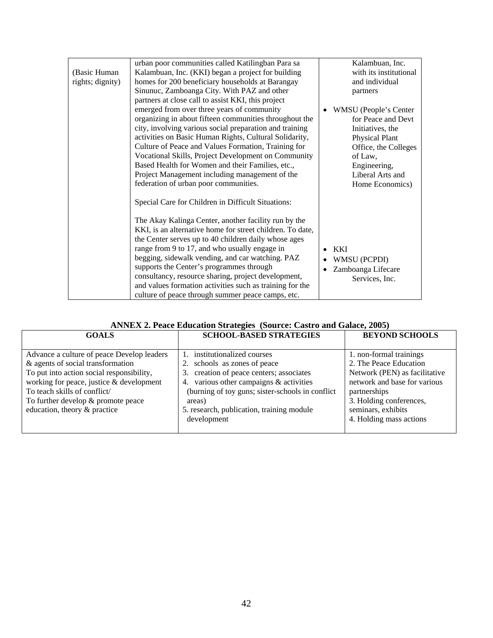|                  | urban poor communities called Katilingban Para sa         | Kalambuan, Inc.         |
|------------------|-----------------------------------------------------------|-------------------------|
| (Basic Human)    | Kalambuan, Inc. (KKI) began a project for building        | with its institutional  |
| rights; dignity) | homes for 200 beneficiary households at Barangay          | and individual          |
|                  | Sinunuc, Zamboanga City. With PAZ and other               | partners                |
|                  | partners at close call to assist KKI, this project        |                         |
|                  | emerged from over three years of community                | • WMSU (People's Center |
|                  | organizing in about fifteen communities throughout the    | for Peace and Devt      |
|                  | city, involving various social preparation and training   | Initiatives, the        |
|                  | activities on Basic Human Rights, Cultural Solidarity,    | <b>Physical Plant</b>   |
|                  | Culture of Peace and Values Formation, Training for       | Office, the Colleges    |
|                  | Vocational Skills, Project Development on Community       | of Law,                 |
|                  | Based Health for Women and their Families, etc.,          | Engineering,            |
|                  | Project Management including management of the            | Liberal Arts and        |
|                  | federation of urban poor communities.                     | Home Economics)         |
|                  | Special Care for Children in Difficult Situations:        |                         |
|                  | The Akay Kalinga Center, another facility run by the      |                         |
|                  | KKI, is an alternative home for street children. To date, |                         |
|                  | the Center serves up to 40 children daily whose ages      |                         |
|                  | range from 9 to 17, and who usually engage in             | <b>KKI</b>              |
|                  | begging, sidewalk vending, and car watching. PAZ          | WMSU (PCPDI)            |
|                  | supports the Center's programmes through                  | Zamboanga Lifecare      |
|                  | consultancy, resource sharing, project development,       | Services, Inc.          |
|                  | and values formation activities such as training for the  |                         |
|                  | culture of peace through summer peace camps, etc.         |                         |

| <b>ANNEX 2. Peace Education Strategies (Source: Castro and Galace, 2005)</b> |  |  |
|------------------------------------------------------------------------------|--|--|
|                                                                              |  |  |

| <b>GOALS</b>                               | <b>SCHOOL-BASED STRATEGIES</b>                   | <b>BEYOND SCHOOLS</b>         |
|--------------------------------------------|--------------------------------------------------|-------------------------------|
|                                            |                                                  |                               |
| Advance a culture of peace Develop leaders | institutionalized courses                        | 1. non-formal trainings       |
| & agents of social transformation          | 2. schools as zones of peace                     | 2. The Peace Education        |
| To put into action social responsibility,  | creation of peace centers; associates<br>3.      | Network (PEN) as facilitative |
| working for peace, justice & development   | 4. various other campaigns & activities          | network and base for various  |
| To teach skills of conflict/               | (burning of toy guns; sister-schools in conflict | partnerships                  |
| To further develop $&$ promote peace       | areas)                                           | 3. Holding conferences,       |
| education, theory & practice               | 5. research, publication, training module        | seminars, exhibits            |
|                                            | development                                      | 4. Holding mass actions       |
|                                            |                                                  |                               |